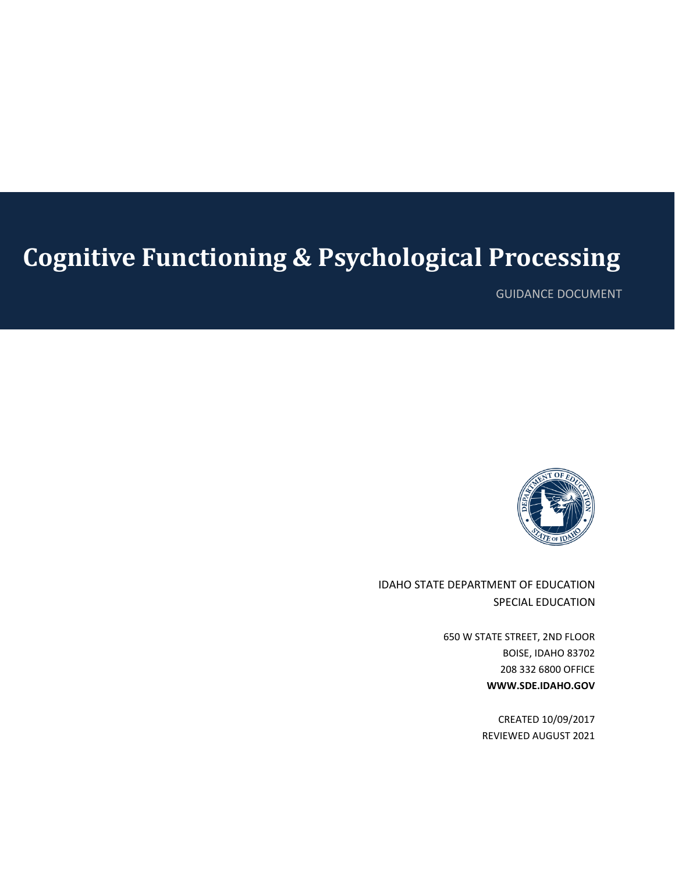# **Cognitive Functioning & Psychological Processing**

GUIDANCE DOCUMENT



IDAHO STATE DEPARTMENT OF EDUCATION SPECIAL EDUCATION

> 650 W STATE STREET, 2ND FLOOR BOISE, IDAHO 83702 208 332 6800 OFFICE **WWW.SDE.IDAHO.GOV**

> > CREATED 10/09/2017 REVIEWED AUGUST 2021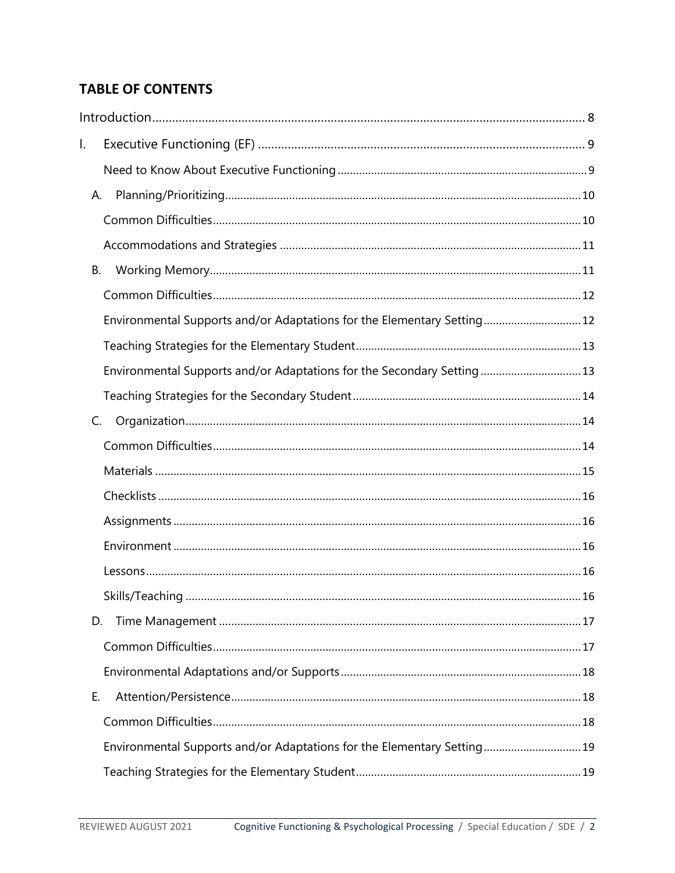# **TABLE OF CONTENTS**

| l. |    |                                                                         |
|----|----|-------------------------------------------------------------------------|
|    |    |                                                                         |
|    | А. |                                                                         |
|    |    |                                                                         |
|    |    |                                                                         |
|    | В. |                                                                         |
|    |    |                                                                         |
|    |    | Environmental Supports and/or Adaptations for the Elementary Setting 12 |
|    |    |                                                                         |
|    |    | Environmental Supports and/or Adaptations for the Secondary Setting 13  |
|    |    |                                                                         |
|    | C. |                                                                         |
|    |    |                                                                         |
|    |    |                                                                         |
|    |    |                                                                         |
|    |    |                                                                         |
|    |    |                                                                         |
|    |    |                                                                         |
|    |    |                                                                         |
|    | D. |                                                                         |
|    |    |                                                                         |
|    |    |                                                                         |
|    | Е. |                                                                         |
|    |    |                                                                         |
|    |    | Environmental Supports and/or Adaptations for the Elementary Setting 19 |
|    |    |                                                                         |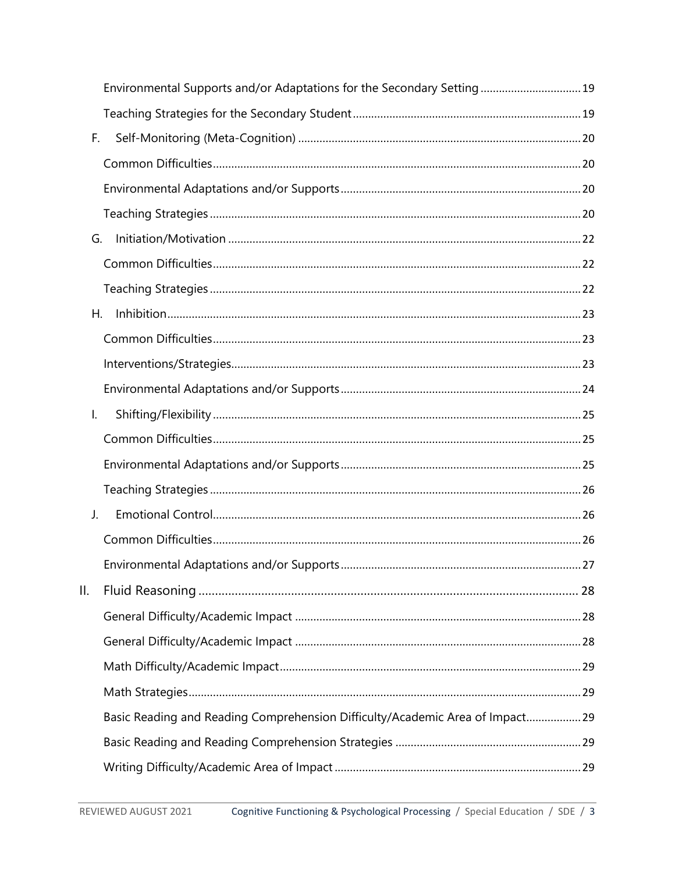|    | Environmental Supports and/or Adaptations for the Secondary Setting 19       |  |
|----|------------------------------------------------------------------------------|--|
|    |                                                                              |  |
| F. |                                                                              |  |
|    |                                                                              |  |
|    |                                                                              |  |
|    |                                                                              |  |
| G. |                                                                              |  |
|    |                                                                              |  |
|    |                                                                              |  |
| Н. |                                                                              |  |
|    |                                                                              |  |
|    |                                                                              |  |
|    |                                                                              |  |
| Ι. |                                                                              |  |
|    |                                                                              |  |
|    |                                                                              |  |
|    |                                                                              |  |
| J. |                                                                              |  |
|    |                                                                              |  |
|    |                                                                              |  |
| Ш. |                                                                              |  |
|    |                                                                              |  |
|    |                                                                              |  |
|    |                                                                              |  |
|    |                                                                              |  |
|    | Basic Reading and Reading Comprehension Difficulty/Academic Area of Impact29 |  |
|    |                                                                              |  |
|    |                                                                              |  |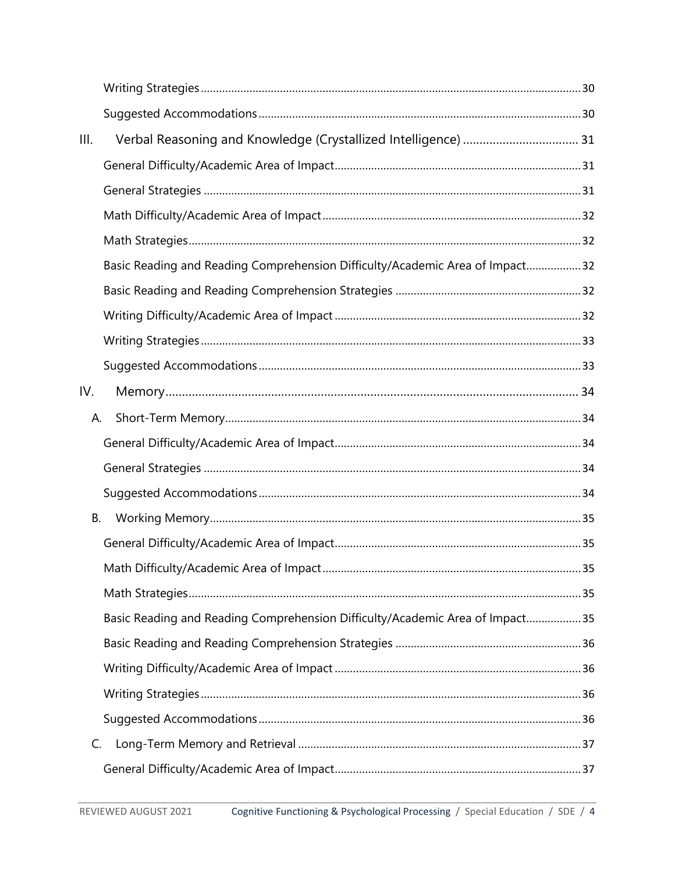| III. |                                                                              |  |
|------|------------------------------------------------------------------------------|--|
|      |                                                                              |  |
|      |                                                                              |  |
|      |                                                                              |  |
|      |                                                                              |  |
|      | Basic Reading and Reading Comprehension Difficulty/Academic Area of Impact32 |  |
|      |                                                                              |  |
|      |                                                                              |  |
|      |                                                                              |  |
|      |                                                                              |  |
| IV.  |                                                                              |  |
| А.   |                                                                              |  |
|      |                                                                              |  |
|      |                                                                              |  |
|      |                                                                              |  |
| В.   |                                                                              |  |
|      |                                                                              |  |
|      |                                                                              |  |
|      |                                                                              |  |
|      | Basic Reading and Reading Comprehension Difficulty/Academic Area of Impact35 |  |
|      |                                                                              |  |
|      |                                                                              |  |
|      |                                                                              |  |
|      |                                                                              |  |
| C.   |                                                                              |  |
|      |                                                                              |  |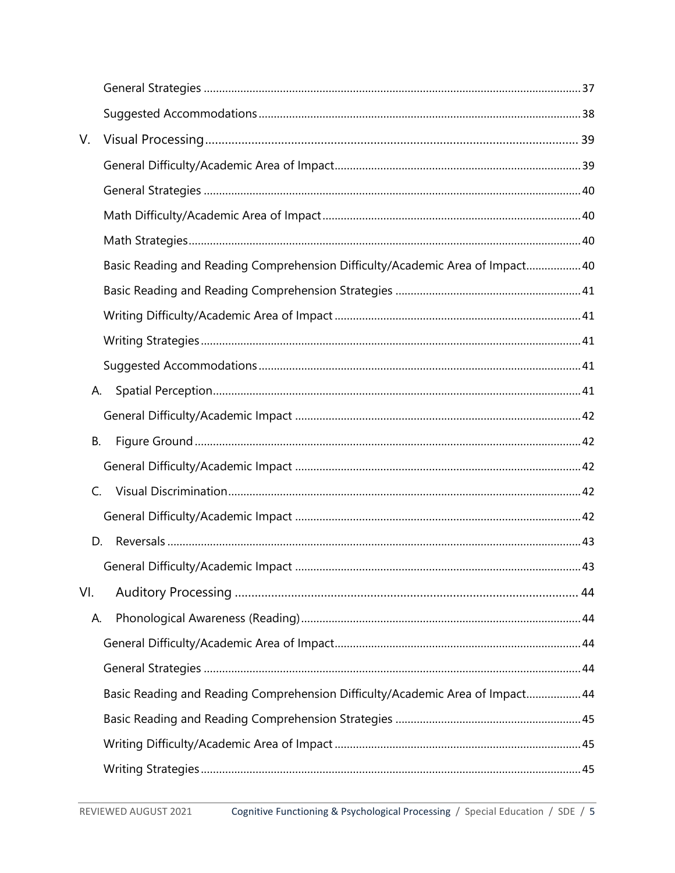| V.  |                                                                               |  |
|-----|-------------------------------------------------------------------------------|--|
|     |                                                                               |  |
|     |                                                                               |  |
|     |                                                                               |  |
|     |                                                                               |  |
|     | Basic Reading and Reading Comprehension Difficulty/Academic Area of Impact 40 |  |
|     |                                                                               |  |
|     |                                                                               |  |
|     |                                                                               |  |
|     |                                                                               |  |
| А.  |                                                                               |  |
|     |                                                                               |  |
| В.  |                                                                               |  |
|     |                                                                               |  |
|     | C.                                                                            |  |
|     |                                                                               |  |
| D.  |                                                                               |  |
|     |                                                                               |  |
| VI. |                                                                               |  |
| А.  |                                                                               |  |
|     |                                                                               |  |
|     |                                                                               |  |
|     | Basic Reading and Reading Comprehension Difficulty/Academic Area of Impact44  |  |
|     |                                                                               |  |
|     |                                                                               |  |
|     |                                                                               |  |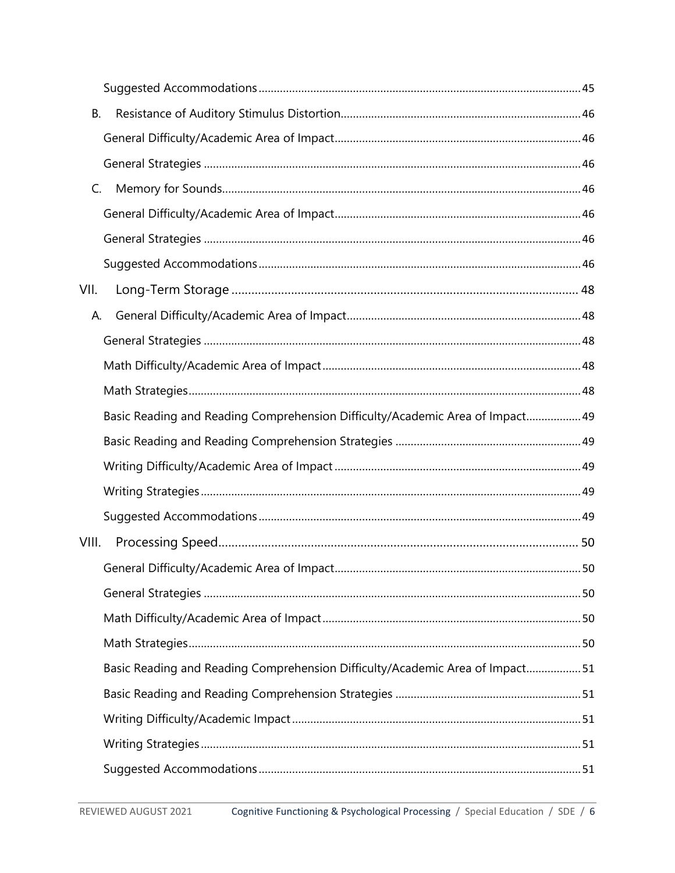| <b>B.</b> |                                                                              |  |
|-----------|------------------------------------------------------------------------------|--|
|           |                                                                              |  |
|           |                                                                              |  |
| C.        |                                                                              |  |
|           |                                                                              |  |
|           |                                                                              |  |
|           |                                                                              |  |
| VII.      |                                                                              |  |
| А.        |                                                                              |  |
|           |                                                                              |  |
|           |                                                                              |  |
|           |                                                                              |  |
|           | Basic Reading and Reading Comprehension Difficulty/Academic Area of Impact49 |  |
|           |                                                                              |  |
|           |                                                                              |  |
|           |                                                                              |  |
|           |                                                                              |  |
| VIII.     |                                                                              |  |
|           |                                                                              |  |
|           |                                                                              |  |
|           |                                                                              |  |
|           |                                                                              |  |
|           | Basic Reading and Reading Comprehension Difficulty/Academic Area of Impact51 |  |
|           |                                                                              |  |
|           |                                                                              |  |
|           |                                                                              |  |
|           |                                                                              |  |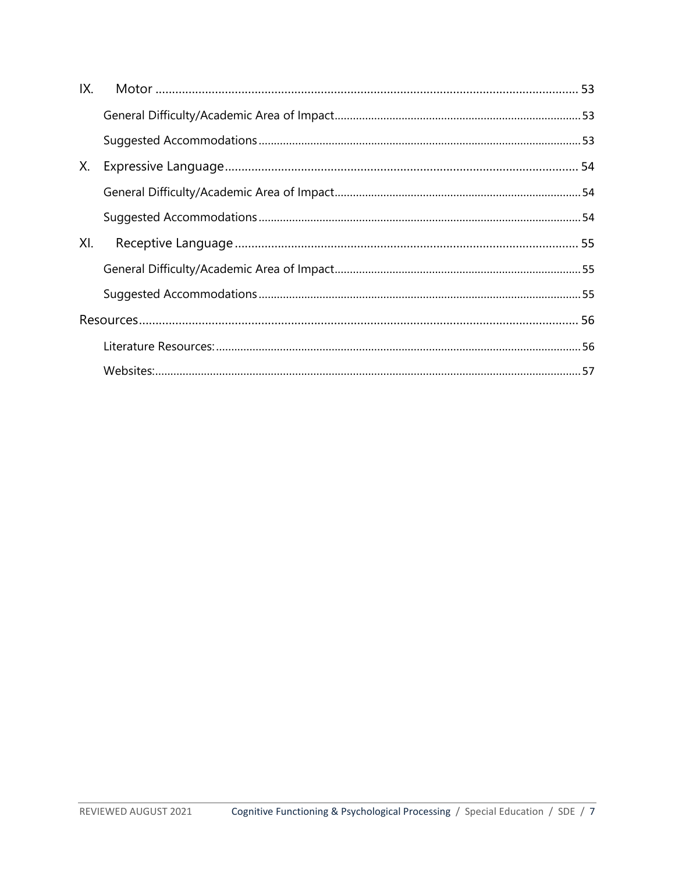<span id="page-6-0"></span>

| IX. |  |
|-----|--|
|     |  |
|     |  |
| Х.  |  |
|     |  |
|     |  |
| XI. |  |
|     |  |
|     |  |
|     |  |
|     |  |
|     |  |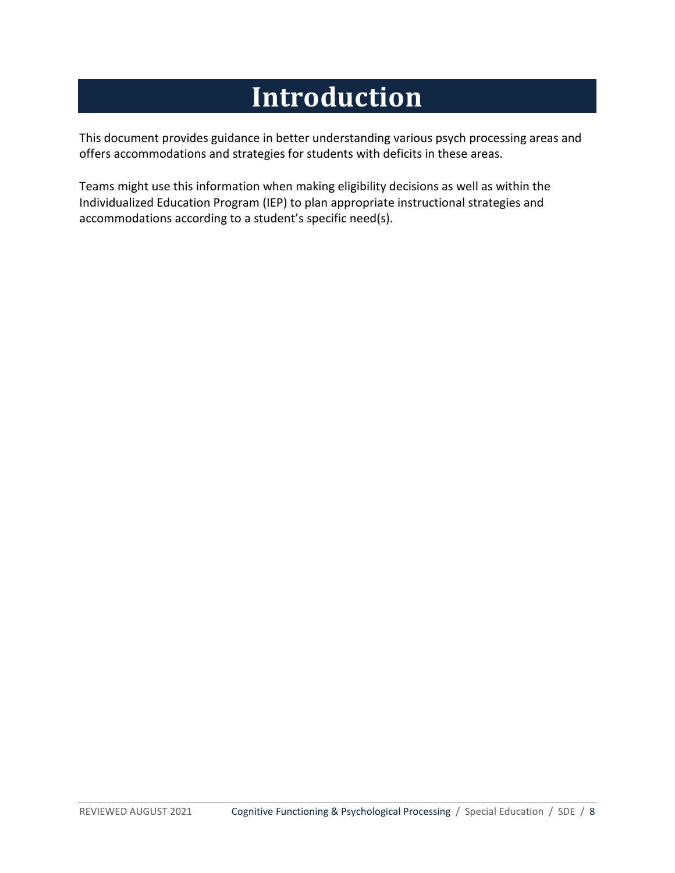# **Introduction**

This document provides guidance in better understanding various psych processing areas and offers accommodations and strategies for students with deficits in these areas.

Teams might use this information when making eligibility decisions as well as within the Individualized Education Program (IEP) to plan appropriate instructional strategies and accommodations according to a student's specific need(s).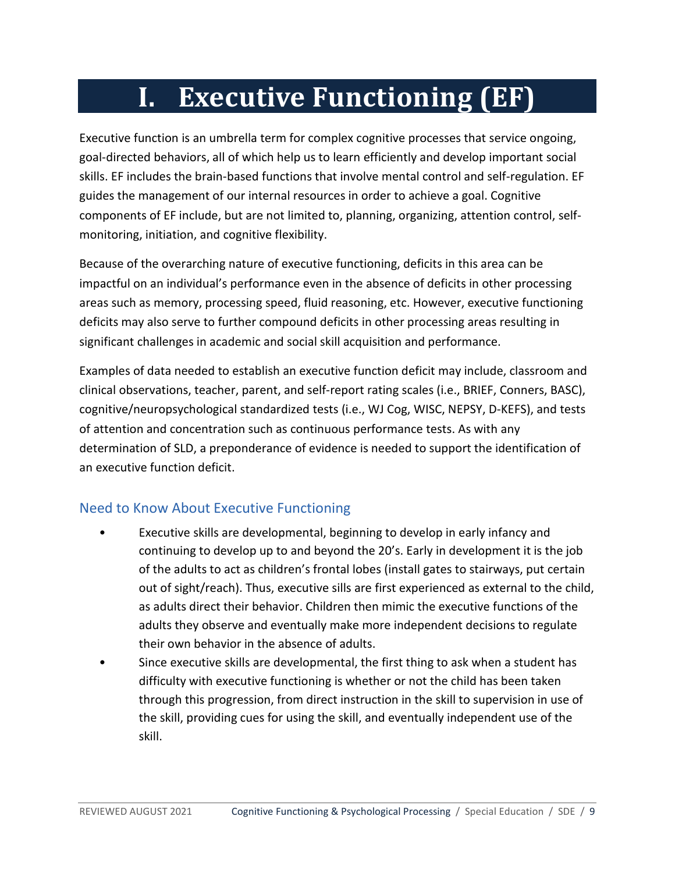# **I. Executive Functioning (EF)**

<span id="page-8-0"></span>Executive function is an umbrella term for complex cognitive processes that service ongoing, goal-directed behaviors, all of which help us to learn efficiently and develop important social skills. EF includes the brain-based functions that involve mental control and self-regulation. EF guides the management of our internal resources in order to achieve a goal. Cognitive components of EF include, but are not limited to, planning, organizing, attention control, selfmonitoring, initiation, and cognitive flexibility.

Because of the overarching nature of executive functioning, deficits in this area can be impactful on an individual's performance even in the absence of deficits in other processing areas such as memory, processing speed, fluid reasoning, etc. However, executive functioning deficits may also serve to further compound deficits in other processing areas resulting in significant challenges in academic and social skill acquisition and performance.

Examples of data needed to establish an executive function deficit may include, classroom and clinical observations, teacher, parent, and self-report rating scales (i.e., BRIEF, Conners, BASC), cognitive/neuropsychological standardized tests (i.e., WJ Cog, WISC, NEPSY, D-KEFS), and tests of attention and concentration such as continuous performance tests. As with any determination of SLD, a preponderance of evidence is needed to support the identification of an executive function deficit.

# <span id="page-8-1"></span>Need to Know About Executive Functioning

- Executive skills are developmental, beginning to develop in early infancy and continuing to develop up to and beyond the 20's. Early in development it is the job of the adults to act as children's frontal lobes (install gates to stairways, put certain out of sight/reach). Thus, executive sills are first experienced as external to the child, as adults direct their behavior. Children then mimic the executive functions of the adults they observe and eventually make more independent decisions to regulate their own behavior in the absence of adults.
- Since executive skills are developmental, the first thing to ask when a student has difficulty with executive functioning is whether or not the child has been taken through this progression, from direct instruction in the skill to supervision in use of the skill, providing cues for using the skill, and eventually independent use of the skill.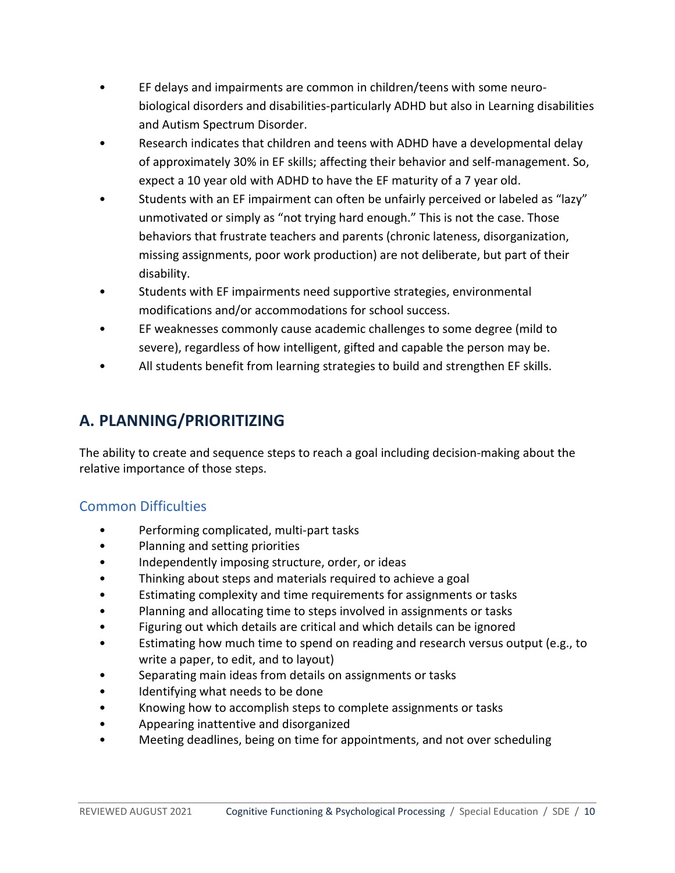- EF delays and impairments are common in children/teens with some neurobiological disorders and disabilities-particularly ADHD but also in Learning disabilities and Autism Spectrum Disorder.
- Research indicates that children and teens with ADHD have a developmental delay of approximately 30% in EF skills; affecting their behavior and self-management. So, expect a 10 year old with ADHD to have the EF maturity of a 7 year old.
- Students with an EF impairment can often be unfairly perceived or labeled as "lazy" unmotivated or simply as "not trying hard enough." This is not the case. Those behaviors that frustrate teachers and parents (chronic lateness, disorganization, missing assignments, poor work production) are not deliberate, but part of their disability.
- Students with EF impairments need supportive strategies, environmental modifications and/or accommodations for school success.
- EF weaknesses commonly cause academic challenges to some degree (mild to severe), regardless of how intelligent, gifted and capable the person may be.
- All students benefit from learning strategies to build and strengthen EF skills.

# <span id="page-9-0"></span>**A. PLANNING/PRIORITIZING**

The ability to create and sequence steps to reach a goal including decision-making about the relative importance of those steps.

# <span id="page-9-1"></span>Common Difficulties

- Performing complicated, multi-part tasks
- Planning and setting priorities
- Independently imposing structure, order, or ideas
- Thinking about steps and materials required to achieve a goal
- Estimating complexity and time requirements for assignments or tasks
- Planning and allocating time to steps involved in assignments or tasks
- Figuring out which details are critical and which details can be ignored
- Estimating how much time to spend on reading and research versus output (e.g., to write a paper, to edit, and to layout)
- Separating main ideas from details on assignments or tasks
- Identifying what needs to be done
- Knowing how to accomplish steps to complete assignments or tasks
- Appearing inattentive and disorganized
- Meeting deadlines, being on time for appointments, and not over scheduling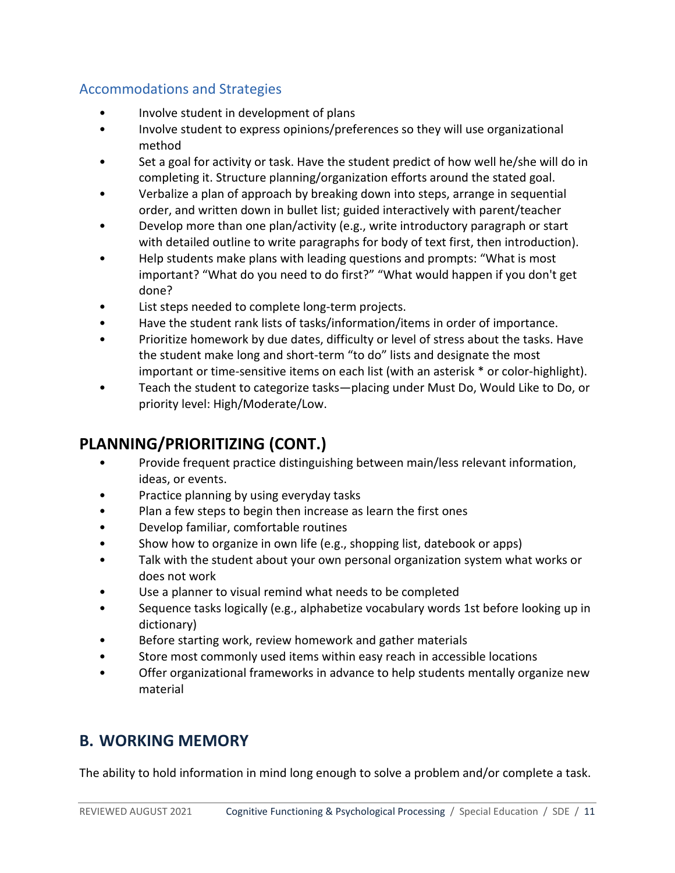# <span id="page-10-0"></span>Accommodations and Strategies

- Involve student in development of plans
- Involve student to express opinions/preferences so they will use organizational method
- Set a goal for activity or task. Have the student predict of how well he/she will do in completing it. Structure planning/organization efforts around the stated goal.
- Verbalize a plan of approach by breaking down into steps, arrange in sequential order, and written down in bullet list; guided interactively with parent/teacher
- Develop more than one plan/activity (e.g., write introductory paragraph or start with detailed outline to write paragraphs for body of text first, then introduction).
- Help students make plans with leading questions and prompts: "What is most important? "What do you need to do first?" "What would happen if you don't get done?
- List steps needed to complete long-term projects.
- Have the student rank lists of tasks/information/items in order of importance.
- Prioritize homework by due dates, difficulty or level of stress about the tasks. Have the student make long and short-term "to do" lists and designate the most important or time-sensitive items on each list (with an asterisk \* or color-highlight).
- Teach the student to categorize tasks—placing under Must Do, Would Like to Do, or priority level: High/Moderate/Low.

# **PLANNING/PRIORITIZING (CONT.)**

- Provide frequent practice distinguishing between main/less relevant information, ideas, or events.
- Practice planning by using everyday tasks
- Plan a few steps to begin then increase as learn the first ones
- Develop familiar, comfortable routines
- Show how to organize in own life (e.g., shopping list, datebook or apps)
- Talk with the student about your own personal organization system what works or does not work
- Use a planner to visual remind what needs to be completed
- Sequence tasks logically (e.g., alphabetize vocabulary words 1st before looking up in dictionary)
- Before starting work, review homework and gather materials
- Store most commonly used items within easy reach in accessible locations
- Offer organizational frameworks in advance to help students mentally organize new material

# <span id="page-10-1"></span>**B. WORKING MEMORY**

The ability to hold information in mind long enough to solve a problem and/or complete a task.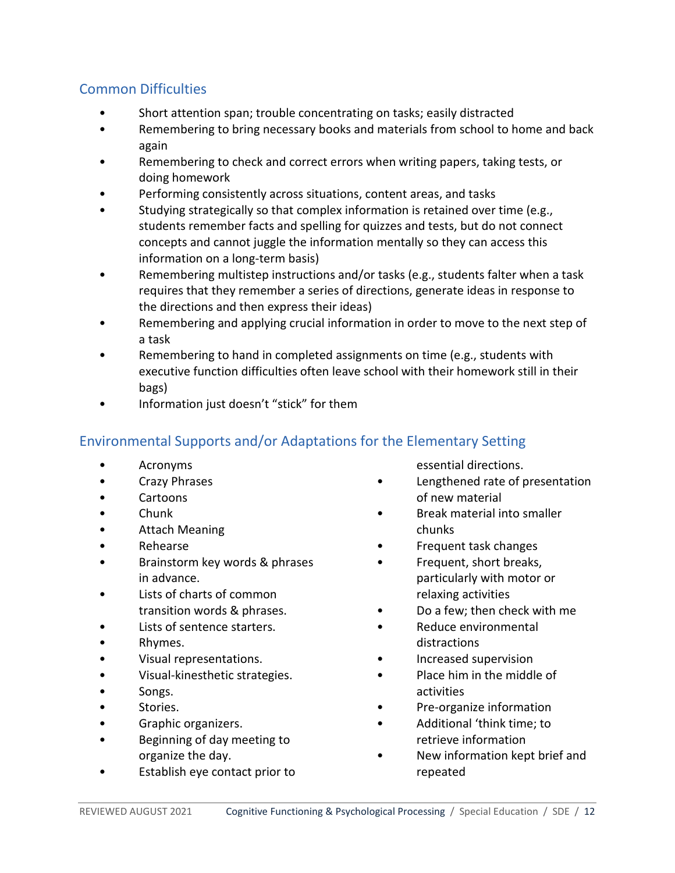# <span id="page-11-0"></span>Common Difficulties

- Short attention span; trouble concentrating on tasks; easily distracted
- Remembering to bring necessary books and materials from school to home and back again
- Remembering to check and correct errors when writing papers, taking tests, or doing homework
- Performing consistently across situations, content areas, and tasks
- Studying strategically so that complex information is retained over time (e.g., students remember facts and spelling for quizzes and tests, but do not connect concepts and cannot juggle the information mentally so they can access this information on a long-term basis)
- Remembering multistep instructions and/or tasks (e.g., students falter when a task requires that they remember a series of directions, generate ideas in response to the directions and then express their ideas)
- Remembering and applying crucial information in order to move to the next step of a task
- Remembering to hand in completed assignments on time (e.g., students with executive function difficulties often leave school with their homework still in their bags)
- Information just doesn't "stick" for them

## <span id="page-11-1"></span>Environmental Supports and/or Adaptations for the Elementary Setting

- Acronyms
- Crazy Phrases
- Cartoons
- Chunk
- Attach Meaning
- Rehearse
- Brainstorm key words & phrases in advance.
- Lists of charts of common transition words & phrases.
- Lists of sentence starters.
- Rhymes.
- Visual representations.
- Visual-kinesthetic strategies.
- Songs.
- Stories.
- Graphic organizers.
- Beginning of day meeting to organize the day.
- Establish eye contact prior to

essential directions.

- Lengthened rate of presentation of new material
- Break material into smaller chunks
- Frequent task changes
- Frequent, short breaks, particularly with motor or relaxing activities
- Do a few; then check with me
- Reduce environmental distractions
- Increased supervision
- Place him in the middle of activities
- Pre-organize information
- Additional 'think time; to retrieve information
- New information kept brief and repeated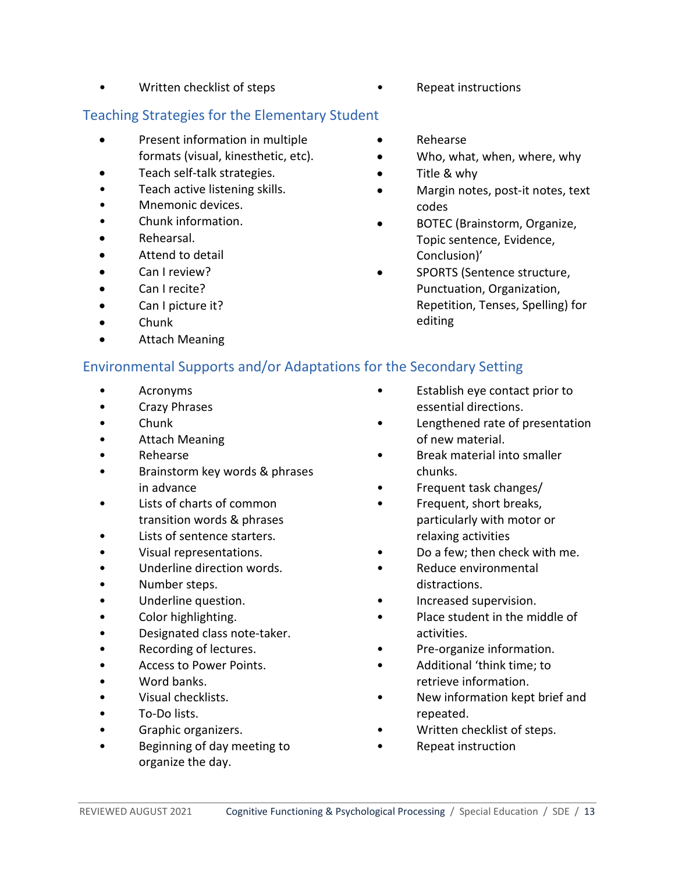- Written checklist of steps Repeat instructions
- <span id="page-12-0"></span>Teaching Strategies for the Elementary Student
	- Present information in multiple formats (visual, kinesthetic, etc).
	- Teach self-talk strategies.
	- Teach active listening skills.
	- Mnemonic devices.
	- Chunk information.
	- Rehearsal.
	- Attend to detail
	- Can I review?
	- Can I recite?
	- Can I picture it?
	- Chunk
	- Attach Meaning
- 
- Rehearse
- Who, what, when, where, why
- Title & why
- Margin notes, post-it notes, text codes
- BOTEC (Brainstorm, Organize, Topic sentence, Evidence, Conclusion)'
- SPORTS (Sentence structure, Punctuation, Organization, Repetition, Tenses, Spelling) for editing

## <span id="page-12-1"></span>Environmental Supports and/or Adaptations for the Secondary Setting

- Acronyms
- Crazy Phrases
- Chunk
- Attach Meaning
- Rehearse
- Brainstorm key words & phrases in advance
- Lists of charts of common transition words & phrases
- Lists of sentence starters.
- Visual representations.
- Underline direction words.
- Number steps.
- Underline question.
- Color highlighting.
- Designated class note-taker.
- Recording of lectures.
- Access to Power Points.
- Word banks.
- Visual checklists.
- To-Do lists.
- Graphic organizers.
- Beginning of day meeting to organize the day.
- Establish eye contact prior to essential directions.
- Lengthened rate of presentation of new material.
- Break material into smaller chunks.
- Frequent task changes/
- Frequent, short breaks, particularly with motor or relaxing activities
- Do a few; then check with me.
- Reduce environmental distractions.
- Increased supervision.
- Place student in the middle of activities.
- Pre-organize information.
- Additional 'think time; to retrieve information.
- New information kept brief and repeated.
- Written checklist of steps.
- Repeat instruction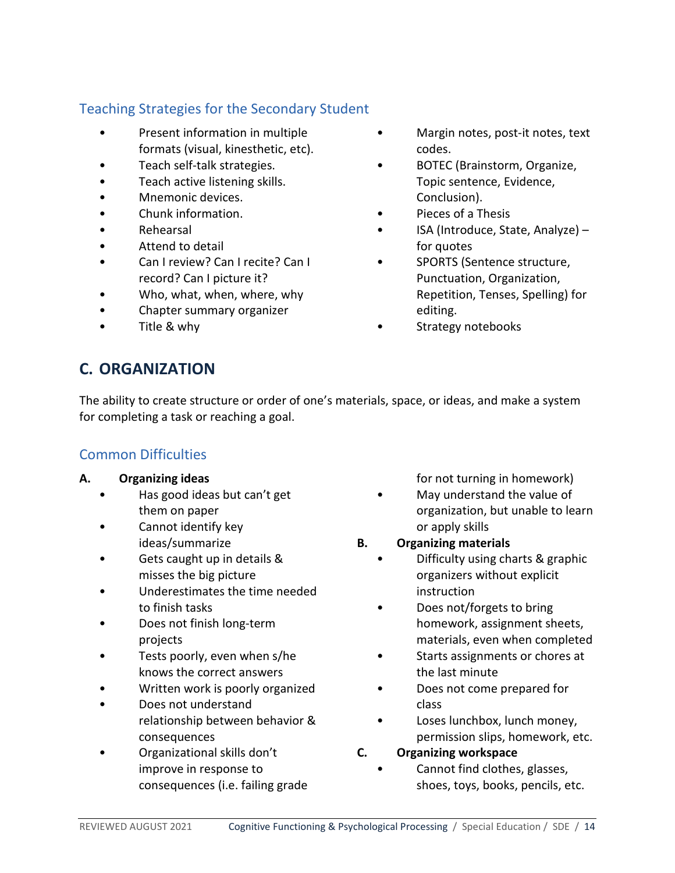# <span id="page-13-0"></span>Teaching Strategies for the Secondary Student

- Present information in multiple formats (visual, kinesthetic, etc).
- Teach self-talk strategies.
- Teach active listening skills.
- Mnemonic devices.
- Chunk information.
- Rehearsal
- Attend to detail
- Can I review? Can I recite? Can I record? Can I picture it?
- Who, what, when, where, why
- Chapter summary organizer
- Title & why
- Margin notes, post-it notes, text codes.
- BOTEC (Brainstorm, Organize, Topic sentence, Evidence, Conclusion).
- Pieces of a Thesis
- ISA (Introduce, State, Analyze) for quotes
- SPORTS (Sentence structure, Punctuation, Organization, Repetition, Tenses, Spelling) for editing.
- Strategy notebooks

# <span id="page-13-1"></span>**C. ORGANIZATION**

The ability to create structure or order of one's materials, space, or ideas, and make a system for completing a task or reaching a goal.

## <span id="page-13-2"></span>Common Difficulties

#### **A. Organizing ideas**

- Has good ideas but can't get them on paper
- Cannot identify key ideas/summarize
- Gets caught up in details & misses the big picture
- Underestimates the time needed to finish tasks
- Does not finish long-term projects
- Tests poorly, even when s/he knows the correct answers
- Written work is poorly organized
- Does not understand relationship between behavior & consequences
- Organizational skills don't improve in response to consequences (i.e. failing grade

for not turning in homework)

- May understand the value of organization, but unable to learn or apply skills
- **B. Organizing materials**
	- Difficulty using charts & graphic organizers without explicit instruction
	- Does not/forgets to bring homework, assignment sheets, materials, even when completed
	- Starts assignments or chores at the last minute
	- Does not come prepared for class
	- Loses lunchbox, lunch money, permission slips, homework, etc.

#### **C. Organizing workspace**

• Cannot find clothes, glasses, shoes, toys, books, pencils, etc.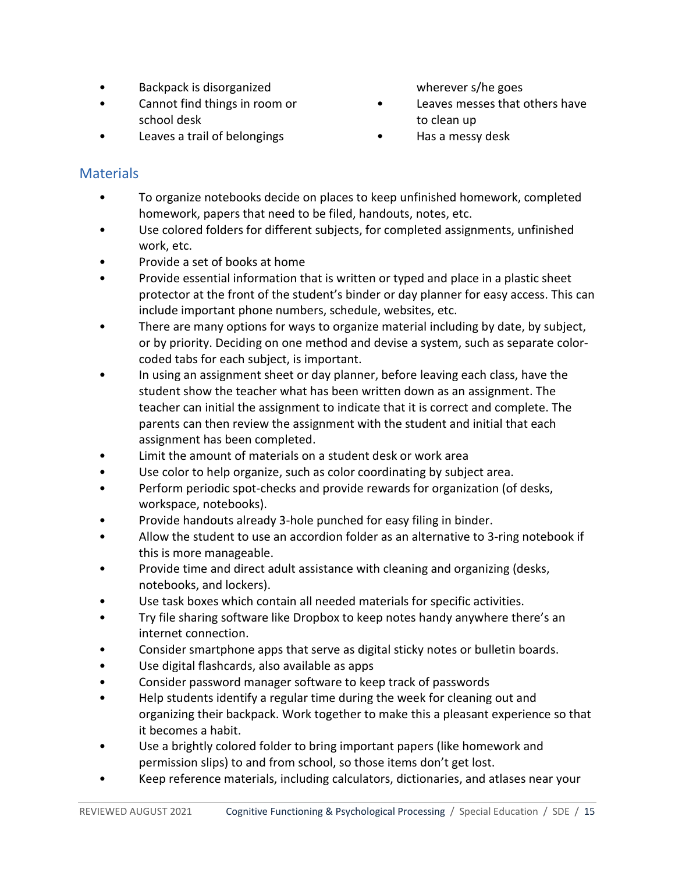- Backpack is disorganized
- Cannot find things in room or school desk
- Leaves a trail of belongings

wherever s/he goes

- Leaves messes that others have to clean up
- Has a messy desk

# <span id="page-14-0"></span>**Materials**

- To organize notebooks decide on places to keep unfinished homework, completed homework, papers that need to be filed, handouts, notes, etc.
- Use colored folders for different subjects, for completed assignments, unfinished work, etc.
- Provide a set of books at home
- Provide essential information that is written or typed and place in a plastic sheet protector at the front of the student's binder or day planner for easy access. This can include important phone numbers, schedule, websites, etc.
- There are many options for ways to organize material including by date, by subject, or by priority. Deciding on one method and devise a system, such as separate colorcoded tabs for each subject, is important.
- In using an assignment sheet or day planner, before leaving each class, have the student show the teacher what has been written down as an assignment. The teacher can initial the assignment to indicate that it is correct and complete. The parents can then review the assignment with the student and initial that each assignment has been completed.
- Limit the amount of materials on a student desk or work area
- Use color to help organize, such as color coordinating by subject area.
- Perform periodic spot-checks and provide rewards for organization (of desks, workspace, notebooks).
- Provide handouts already 3-hole punched for easy filing in binder.
- Allow the student to use an accordion folder as an alternative to 3-ring notebook if this is more manageable.
- Provide time and direct adult assistance with cleaning and organizing (desks, notebooks, and lockers).
- Use task boxes which contain all needed materials for specific activities.
- Try file sharing software like Dropbox to keep notes handy anywhere there's an internet connection.
- Consider smartphone apps that serve as digital sticky notes or bulletin boards.
- Use digital flashcards, also available as apps
- Consider password manager software to keep track of passwords
- Help students identify a regular time during the week for cleaning out and organizing their backpack. Work together to make this a pleasant experience so that it becomes a habit.
- Use a brightly colored folder to bring important papers (like homework and permission slips) to and from school, so those items don't get lost.
- Keep reference materials, including calculators, dictionaries, and atlases near your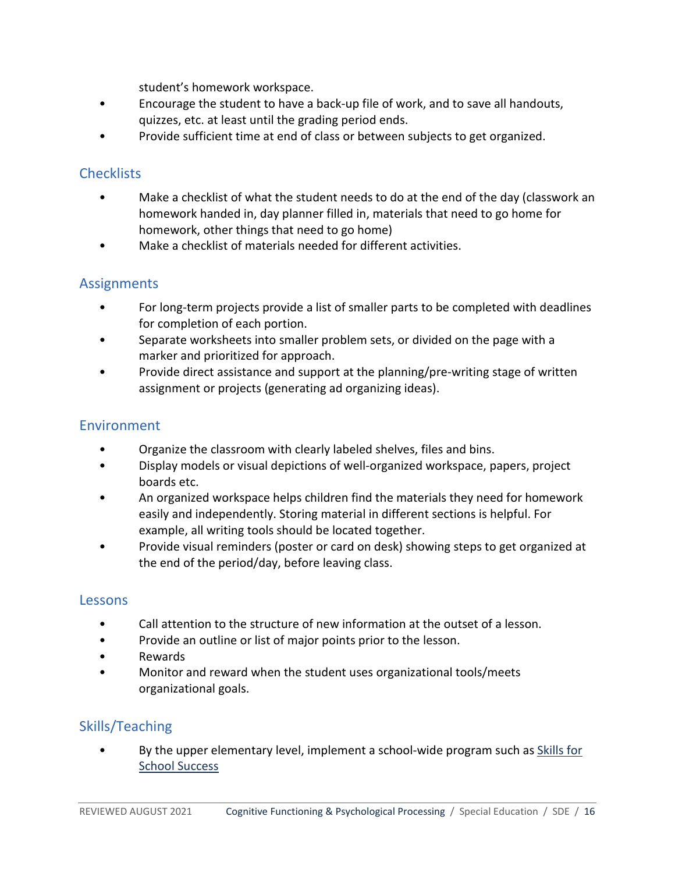student's homework workspace.

- Encourage the student to have a back-up file of work, and to save all handouts, quizzes, etc. at least until the grading period ends.
- Provide sufficient time at end of class or between subjects to get organized.

## <span id="page-15-0"></span>**Checklists**

- Make a checklist of what the student needs to do at the end of the day (classwork an homework handed in, day planner filled in, materials that need to go home for homework, other things that need to go home)
- Make a checklist of materials needed for different activities.

## <span id="page-15-1"></span>**Assignments**

- For long-term projects provide a list of smaller parts to be completed with deadlines for completion of each portion.
- Separate worksheets into smaller problem sets, or divided on the page with a marker and prioritized for approach.
- Provide direct assistance and support at the planning/pre-writing stage of written assignment or projects (generating ad organizing ideas).

## <span id="page-15-2"></span>Environment

- Organize the classroom with clearly labeled shelves, files and bins.
- Display models or visual depictions of well-organized workspace, papers, project boards etc.
- An organized workspace helps children find the materials they need for homework easily and independently. Storing material in different sections is helpful. For example, all writing tools should be located together.
- Provide visual reminders (poster or card on desk) showing steps to get organized at the end of the period/day, before leaving class.

#### <span id="page-15-3"></span>Lessons

- Call attention to the structure of new information at the outset of a lesson.
- Provide an outline or list of major points prior to the lesson.
- Rewards
- Monitor and reward when the student uses organizational tools/meets organizational goals.

# <span id="page-15-4"></span>Skills/Teaching

• By the upper elementary level, implement a school-wide program such as [Skills for](http://www.curriculumassociates.com/)  [School Success](http://www.curriculumassociates.com/)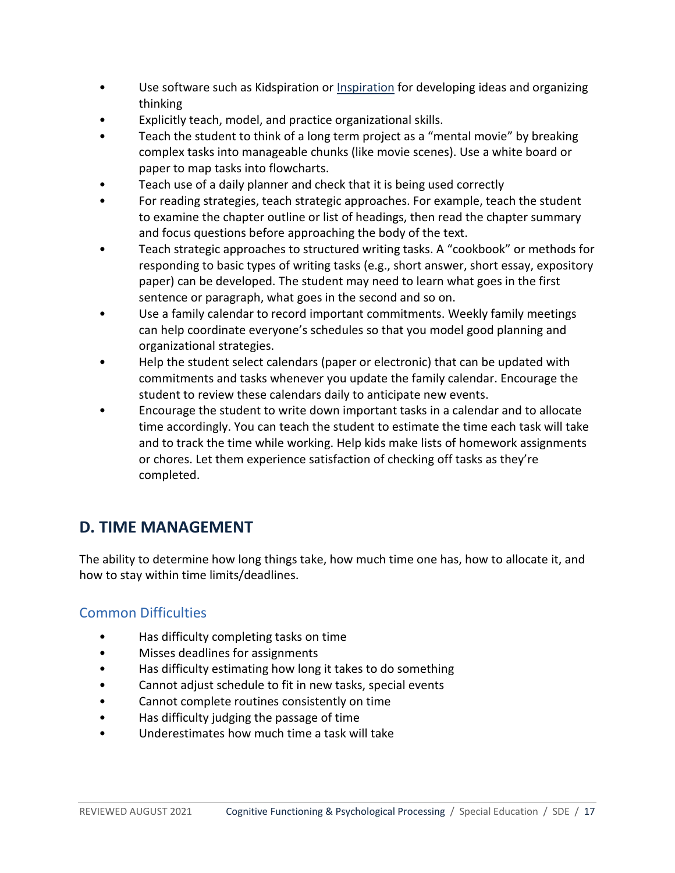- Use software such as Kidspiration or [Inspiration](http://www.inspiration.com/) for developing ideas and organizing thinking
- Explicitly teach, model, and practice organizational skills.
- Teach the student to think of a long term project as a "mental movie" by breaking complex tasks into manageable chunks (like movie scenes). Use a white board or paper to map tasks into flowcharts.
- Teach use of a daily planner and check that it is being used correctly
- For reading strategies, teach strategic approaches. For example, teach the student to examine the chapter outline or list of headings, then read the chapter summary and focus questions before approaching the body of the text.
- Teach strategic approaches to structured writing tasks. A "cookbook" or methods for responding to basic types of writing tasks (e.g., short answer, short essay, expository paper) can be developed. The student may need to learn what goes in the first sentence or paragraph, what goes in the second and so on.
- Use a family calendar to record important commitments. Weekly family meetings can help coordinate everyone's schedules so that you model good planning and organizational strategies.
- Help the student select calendars (paper or electronic) that can be updated with commitments and tasks whenever you update the family calendar. Encourage the student to review these calendars daily to anticipate new events.
- Encourage the student to write down important tasks in a calendar and to allocate time accordingly. You can teach the student to estimate the time each task will take and to track the time while working. Help kids make lists of homework assignments or chores. Let them experience satisfaction of checking off tasks as they're completed.

# <span id="page-16-0"></span>**D. TIME MANAGEMENT**

The ability to determine how long things take, how much time one has, how to allocate it, and how to stay within time limits/deadlines.

## <span id="page-16-1"></span>Common Difficulties

- Has difficulty completing tasks on time
- Misses deadlines for assignments
- Has difficulty estimating how long it takes to do something
- Cannot adjust schedule to fit in new tasks, special events
- Cannot complete routines consistently on time
- Has difficulty judging the passage of time
- Underestimates how much time a task will take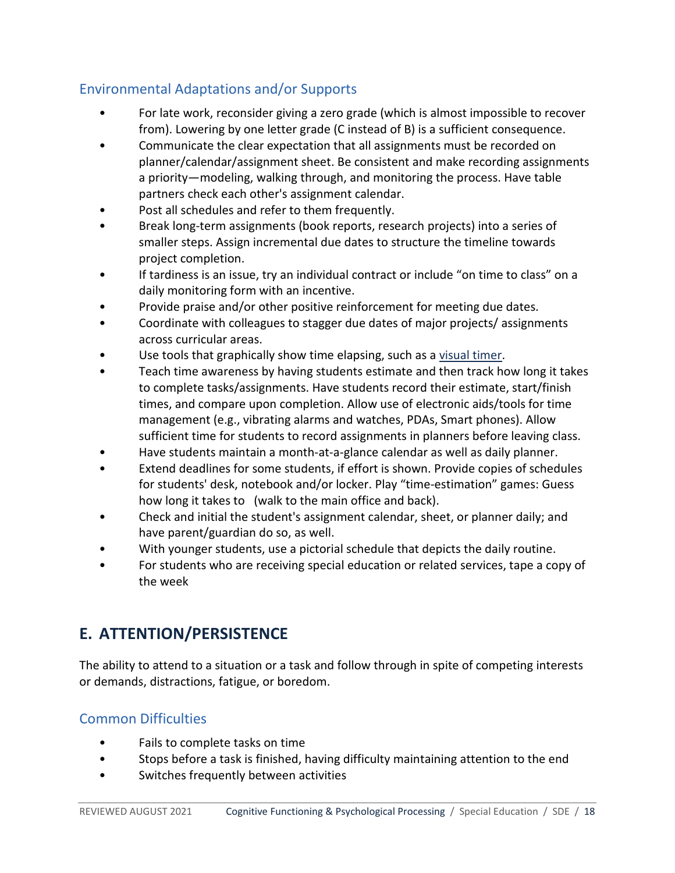# <span id="page-17-0"></span>Environmental Adaptations and/or Supports

- For late work, reconsider giving a zero grade (which is almost impossible to recover from). Lowering by one letter grade (C instead of B) is a sufficient consequence.
- Communicate the clear expectation that all assignments must be recorded on planner/calendar/assignment sheet. Be consistent and make recording assignments a priority—modeling, walking through, and monitoring the process. Have table partners check each other's assignment calendar.
- Post all schedules and refer to them frequently.
- Break long-term assignments (book reports, research projects) into a series of smaller steps. Assign incremental due dates to structure the timeline towards project completion.
- If tardiness is an issue, try an individual contract or include "on time to class" on a daily monitoring form with an incentive.
- Provide praise and/or other positive reinforcement for meeting due dates.
- Coordinate with colleagues to stagger due dates of major projects/ assignments across curricular areas.
- Use tools that graphically show time elapsing, such as a [visual timer.](http://www.timetimer.com/)
- Teach time awareness by having students estimate and then track how long it takes to complete tasks/assignments. Have students record their estimate, start/finish times, and compare upon completion. Allow use of electronic aids/tools for time management (e.g., vibrating alarms and watches, PDAs, Smart phones). Allow sufficient time for students to record assignments in planners before leaving class.
- Have students maintain a month-at-a-glance calendar as well as daily planner.
- Extend deadlines for some students, if effort is shown. Provide copies of schedules for students' desk, notebook and/or locker. Play "time-estimation" games: Guess how long it takes to (walk to the main office and back).
- Check and initial the student's assignment calendar, sheet, or planner daily; and have parent/guardian do so, as well.
- With younger students, use a pictorial schedule that depicts the daily routine.
- For students who are receiving special education or related services, tape a copy of the week

# <span id="page-17-1"></span>**E. ATTENTION/PERSISTENCE**

The ability to attend to a situation or a task and follow through in spite of competing interests or demands, distractions, fatigue, or boredom.

# <span id="page-17-2"></span>Common Difficulties

- Fails to complete tasks on time
- Stops before a task is finished, having difficulty maintaining attention to the end
- Switches frequently between activities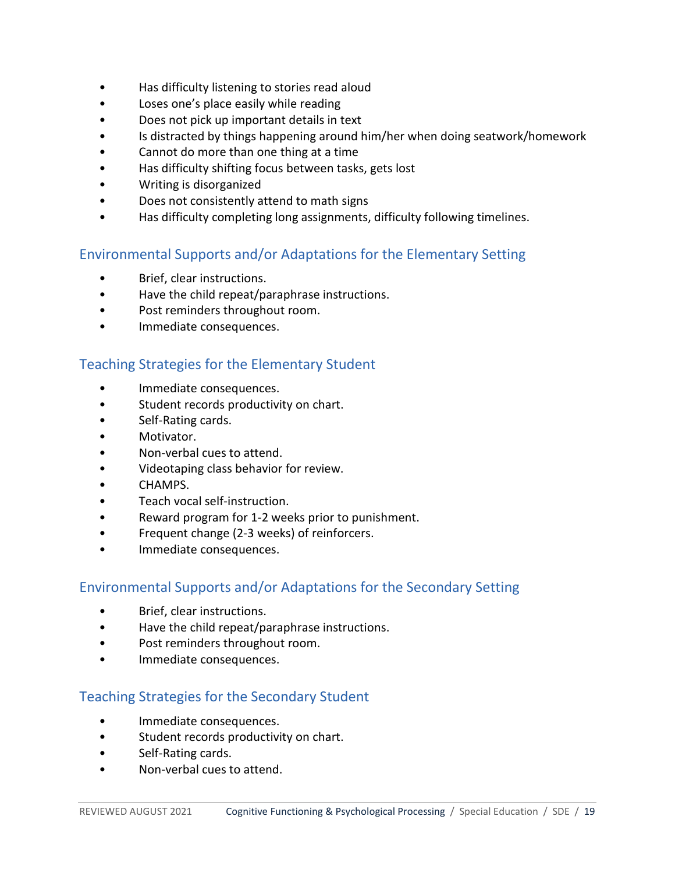- Has difficulty listening to stories read aloud
- Loses one's place easily while reading
- Does not pick up important details in text
- Is distracted by things happening around him/her when doing seatwork/homework
- Cannot do more than one thing at a time
- Has difficulty shifting focus between tasks, gets lost
- Writing is disorganized
- Does not consistently attend to math signs
- Has difficulty completing long assignments, difficulty following timelines.

## <span id="page-18-0"></span>Environmental Supports and/or Adaptations for the Elementary Setting

- Brief, clear instructions.
- Have the child repeat/paraphrase instructions.
- Post reminders throughout room.
- Immediate consequences.

#### <span id="page-18-1"></span>Teaching Strategies for the Elementary Student

- Immediate consequences.
- Student records productivity on chart.
- Self-Rating cards.
- Motivator.
- Non-verbal cues to attend.
- Videotaping class behavior for review.
- CHAMPS.
- Teach vocal self-instruction.
- Reward program for 1-2 weeks prior to punishment.
- Frequent change (2-3 weeks) of reinforcers.
- Immediate consequences.

## <span id="page-18-2"></span>Environmental Supports and/or Adaptations for the Secondary Setting

- Brief, clear instructions.
- Have the child repeat/paraphrase instructions.
- Post reminders throughout room.
- Immediate consequences.

## <span id="page-18-3"></span>Teaching Strategies for the Secondary Student

- Immediate consequences.
- Student records productivity on chart.
- Self-Rating cards.
- Non-verbal cues to attend.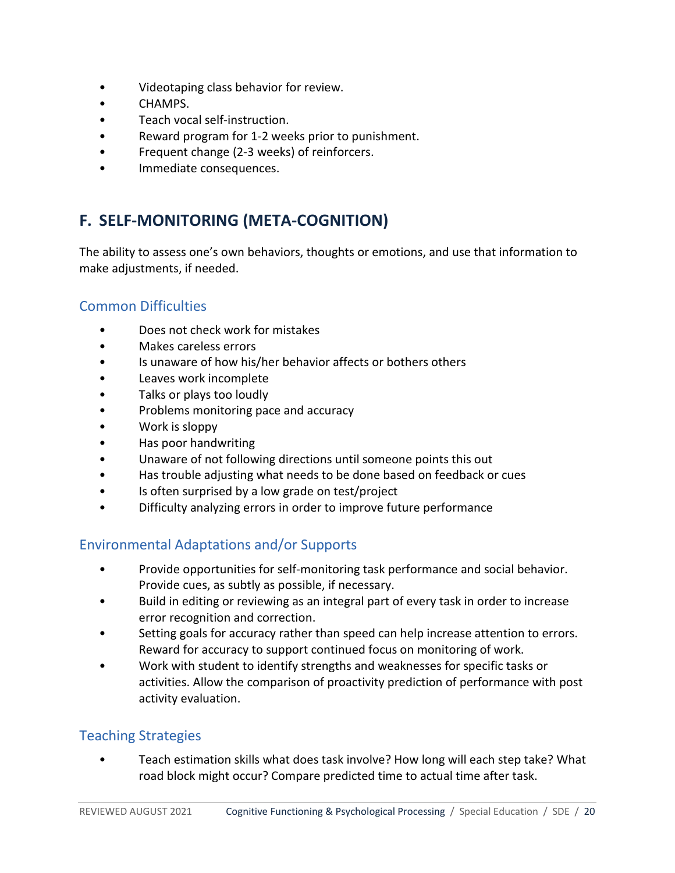- Videotaping class behavior for review.
- CHAMPS.
- Teach vocal self-instruction.
- Reward program for 1-2 weeks prior to punishment.
- Frequent change (2-3 weeks) of reinforcers.
- <span id="page-19-0"></span>Immediate consequences.

# **F. SELF-MONITORING (META-COGNITION)**

The ability to assess one's own behaviors, thoughts or emotions, and use that information to make adjustments, if needed.

## <span id="page-19-1"></span>Common Difficulties

- Does not check work for mistakes
- Makes careless errors
- Is unaware of how his/her behavior affects or bothers others
- Leaves work incomplete
- Talks or plays too loudly
- Problems monitoring pace and accuracy
- Work is sloppy
- Has poor handwriting
- Unaware of not following directions until someone points this out
- Has trouble adjusting what needs to be done based on feedback or cues
- Is often surprised by a low grade on test/project
- Difficulty analyzing errors in order to improve future performance

## <span id="page-19-2"></span>Environmental Adaptations and/or Supports

- Provide opportunities for self-monitoring task performance and social behavior. Provide cues, as subtly as possible, if necessary.
- Build in editing or reviewing as an integral part of every task in order to increase error recognition and correction.
- Setting goals for accuracy rather than speed can help increase attention to errors. Reward for accuracy to support continued focus on monitoring of work.
- Work with student to identify strengths and weaknesses for specific tasks or activities. Allow the comparison of proactivity prediction of performance with post activity evaluation.

## <span id="page-19-3"></span>Teaching Strategies

• Teach estimation skills what does task involve? How long will each step take? What road block might occur? Compare predicted time to actual time after task.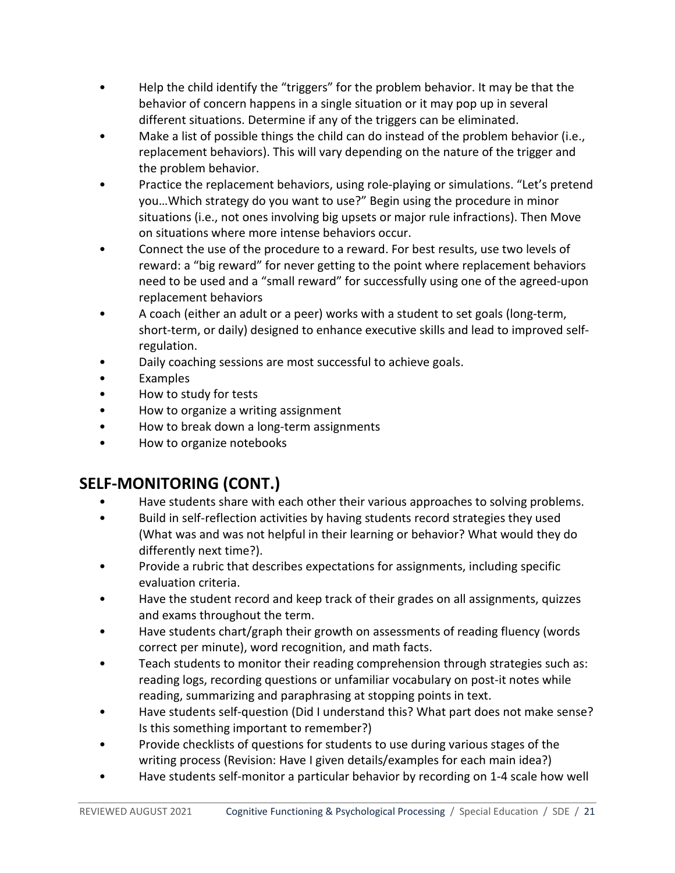- Help the child identify the "triggers" for the problem behavior. It may be that the behavior of concern happens in a single situation or it may pop up in several different situations. Determine if any of the triggers can be eliminated.
- Make a list of possible things the child can do instead of the problem behavior (i.e., replacement behaviors). This will vary depending on the nature of the trigger and the problem behavior.
- Practice the replacement behaviors, using role-playing or simulations. "Let's pretend you…Which strategy do you want to use?" Begin using the procedure in minor situations (i.e., not ones involving big upsets or major rule infractions). Then Move on situations where more intense behaviors occur.
- Connect the use of the procedure to a reward. For best results, use two levels of reward: a "big reward" for never getting to the point where replacement behaviors need to be used and a "small reward" for successfully using one of the agreed-upon replacement behaviors
- A coach (either an adult or a peer) works with a student to set goals (long-term, short-term, or daily) designed to enhance executive skills and lead to improved selfregulation.
- Daily coaching sessions are most successful to achieve goals.
- Examples
- How to study for tests
- How to organize a writing assignment
- How to break down a long-term assignments
- How to organize notebooks

# **SELF-MONITORING (CONT.)**

- Have students share with each other their various approaches to solving problems.
- Build in self-reflection activities by having students record strategies they used (What was and was not helpful in their learning or behavior? What would they do differently next time?).
- Provide a rubric that describes expectations for assignments, including specific evaluation criteria.
- Have the student record and keep track of their grades on all assignments, quizzes and exams throughout the term.
- Have students chart/graph their growth on assessments of reading fluency (words correct per minute), word recognition, and math facts.
- Teach students to monitor their reading comprehension through strategies such as: reading logs, recording questions or unfamiliar vocabulary on post-it notes while reading, summarizing and paraphrasing at stopping points in text.
- Have students self-question (Did I understand this? What part does not make sense? Is this something important to remember?)
- Provide checklists of questions for students to use during various stages of the writing process (Revision: Have I given details/examples for each main idea?)
- Have students self-monitor a particular behavior by recording on 1-4 scale how well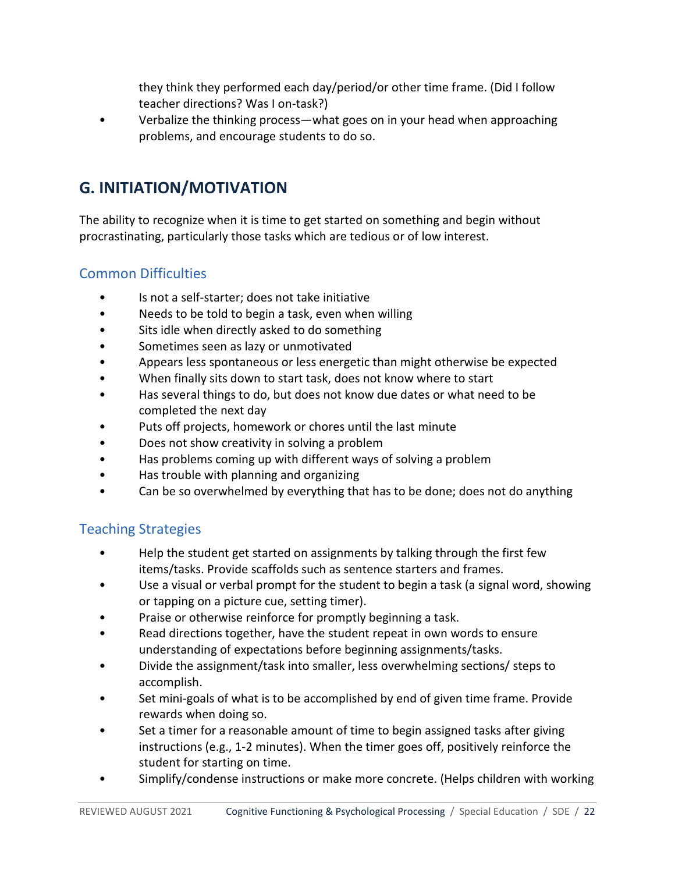they think they performed each day/period/or other time frame. (Did I follow teacher directions? Was I on-task?)

• Verbalize the thinking process—what goes on in your head when approaching problems, and encourage students to do so.

# <span id="page-21-0"></span>**G. INITIATION/MOTIVATION**

The ability to recognize when it is time to get started on something and begin without procrastinating, particularly those tasks which are tedious or of low interest.

## <span id="page-21-1"></span>Common Difficulties

- Is not a self-starter; does not take initiative
- Needs to be told to begin a task, even when willing
- Sits idle when directly asked to do something
- Sometimes seen as lazy or unmotivated
- Appears less spontaneous or less energetic than might otherwise be expected
- When finally sits down to start task, does not know where to start
- Has several things to do, but does not know due dates or what need to be completed the next day
- Puts off projects, homework or chores until the last minute
- Does not show creativity in solving a problem
- Has problems coming up with different ways of solving a problem
- Has trouble with planning and organizing
- Can be so overwhelmed by everything that has to be done; does not do anything

# <span id="page-21-2"></span>Teaching Strategies

- Help the student get started on assignments by talking through the first few items/tasks. Provide scaffolds such as sentence starters and frames.
- Use a visual or verbal prompt for the student to begin a task (a signal word, showing or tapping on a picture cue, setting timer).
- Praise or otherwise reinforce for promptly beginning a task.
- Read directions together, have the student repeat in own words to ensure understanding of expectations before beginning assignments/tasks.
- Divide the assignment/task into smaller, less overwhelming sections/ steps to accomplish.
- Set mini-goals of what is to be accomplished by end of given time frame. Provide rewards when doing so.
- Set a timer for a reasonable amount of time to begin assigned tasks after giving instructions (e.g., 1-2 minutes). When the timer goes off, positively reinforce the student for starting on time.
- Simplify/condense instructions or make more concrete. (Helps children with working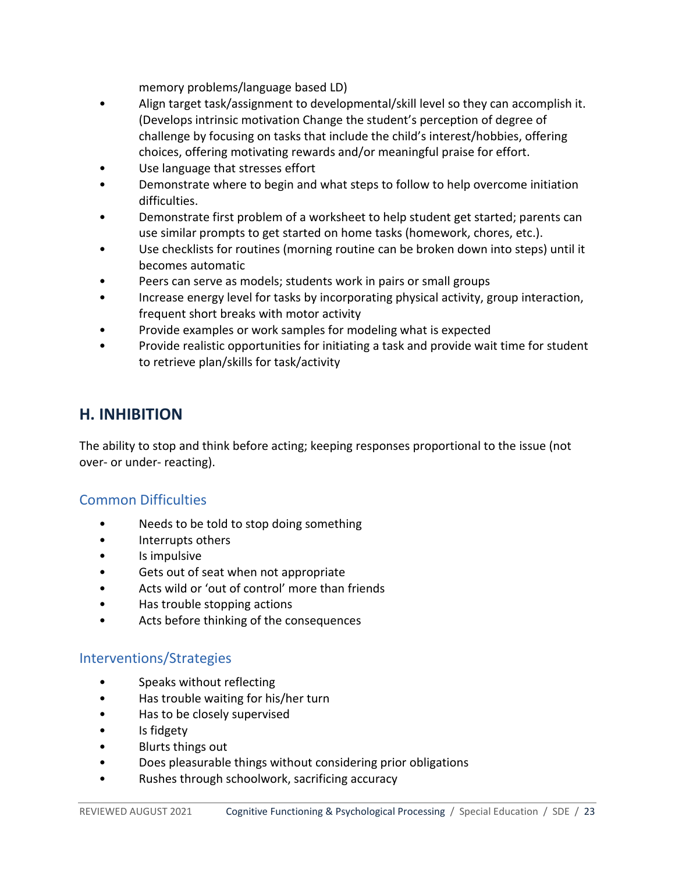memory problems/language based LD)

- Align target task/assignment to developmental/skill level so they can accomplish it. (Develops intrinsic motivation Change the student's perception of degree of challenge by focusing on tasks that include the child's interest/hobbies, offering choices, offering motivating rewards and/or meaningful praise for effort.
- Use language that stresses effort
- Demonstrate where to begin and what steps to follow to help overcome initiation difficulties.
- Demonstrate first problem of a worksheet to help student get started; parents can use similar prompts to get started on home tasks (homework, chores, etc.).
- Use checklists for routines (morning routine can be broken down into steps) until it becomes automatic
- Peers can serve as models; students work in pairs or small groups
- Increase energy level for tasks by incorporating physical activity, group interaction, frequent short breaks with motor activity
- Provide examples or work samples for modeling what is expected
- Provide realistic opportunities for initiating a task and provide wait time for student to retrieve plan/skills for task/activity

# <span id="page-22-0"></span>**H. INHIBITION**

The ability to stop and think before acting; keeping responses proportional to the issue (not over- or under- reacting).

## <span id="page-22-1"></span>Common Difficulties

- Needs to be told to stop doing something
- Interrupts others
- Is impulsive
- Gets out of seat when not appropriate
- Acts wild or 'out of control' more than friends
- Has trouble stopping actions
- Acts before thinking of the consequences

## <span id="page-22-2"></span>Interventions/Strategies

- Speaks without reflecting
- Has trouble waiting for his/her turn
- Has to be closely supervised
- Is fidgety
- Blurts things out
- Does pleasurable things without considering prior obligations
- Rushes through schoolwork, sacrificing accuracy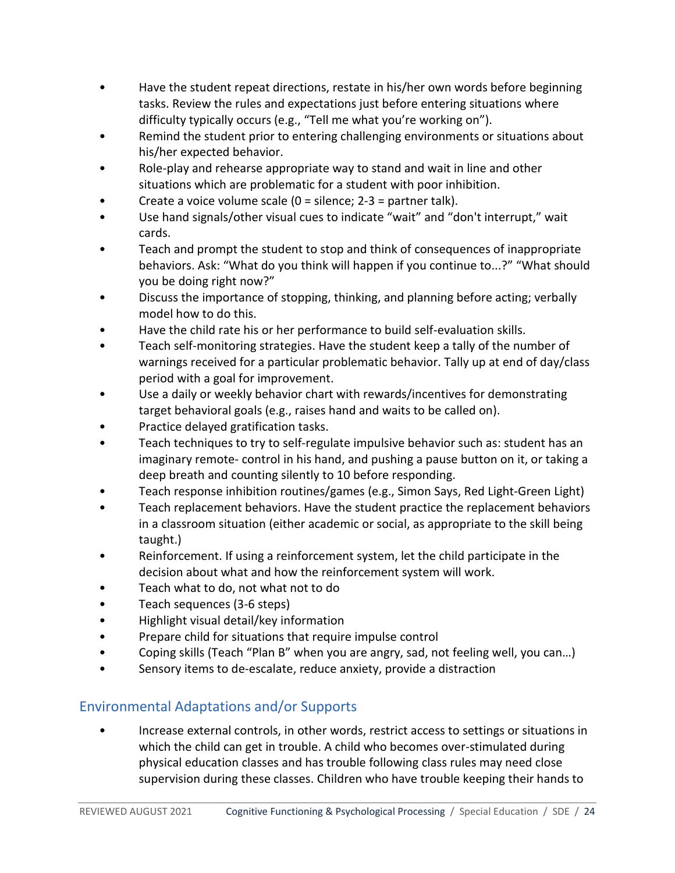- Have the student repeat directions, restate in his/her own words before beginning tasks. Review the rules and expectations just before entering situations where difficulty typically occurs (e.g., "Tell me what you're working on").
- Remind the student prior to entering challenging environments or situations about his/her expected behavior.
- Role-play and rehearse appropriate way to stand and wait in line and other situations which are problematic for a student with poor inhibition.
- Create a voice volume scale  $(0 =$  silence;  $2-3 =$  partner talk).
- Use hand signals/other visual cues to indicate "wait" and "don't interrupt," wait cards.
- Teach and prompt the student to stop and think of consequences of inappropriate behaviors. Ask: "What do you think will happen if you continue to...?" "What should you be doing right now?"
- Discuss the importance of stopping, thinking, and planning before acting; verbally model how to do this.
- Have the child rate his or her performance to build self-evaluation skills.
- Teach self-monitoring strategies. Have the student keep a tally of the number of warnings received for a particular problematic behavior. Tally up at end of day/class period with a goal for improvement.
- Use a daily or weekly behavior chart with rewards/incentives for demonstrating target behavioral goals (e.g., raises hand and waits to be called on).
- Practice delayed gratification tasks.
- Teach techniques to try to self-regulate impulsive behavior such as: student has an imaginary remote- control in his hand, and pushing a pause button on it, or taking a deep breath and counting silently to 10 before responding.
- Teach response inhibition routines/games (e.g., Simon Says, Red Light-Green Light)
- Teach replacement behaviors. Have the student practice the replacement behaviors in a classroom situation (either academic or social, as appropriate to the skill being taught.)
- Reinforcement. If using a reinforcement system, let the child participate in the decision about what and how the reinforcement system will work.
- Teach what to do, not what not to do
- Teach sequences (3-6 steps)
- Highlight visual detail/key information
- Prepare child for situations that require impulse control
- Coping skills (Teach "Plan B" when you are angry, sad, not feeling well, you can…)
- Sensory items to de-escalate, reduce anxiety, provide a distraction

# <span id="page-23-0"></span>Environmental Adaptations and/or Supports

• Increase external controls, in other words, restrict access to settings or situations in which the child can get in trouble. A child who becomes over-stimulated during physical education classes and has trouble following class rules may need close supervision during these classes. Children who have trouble keeping their hands to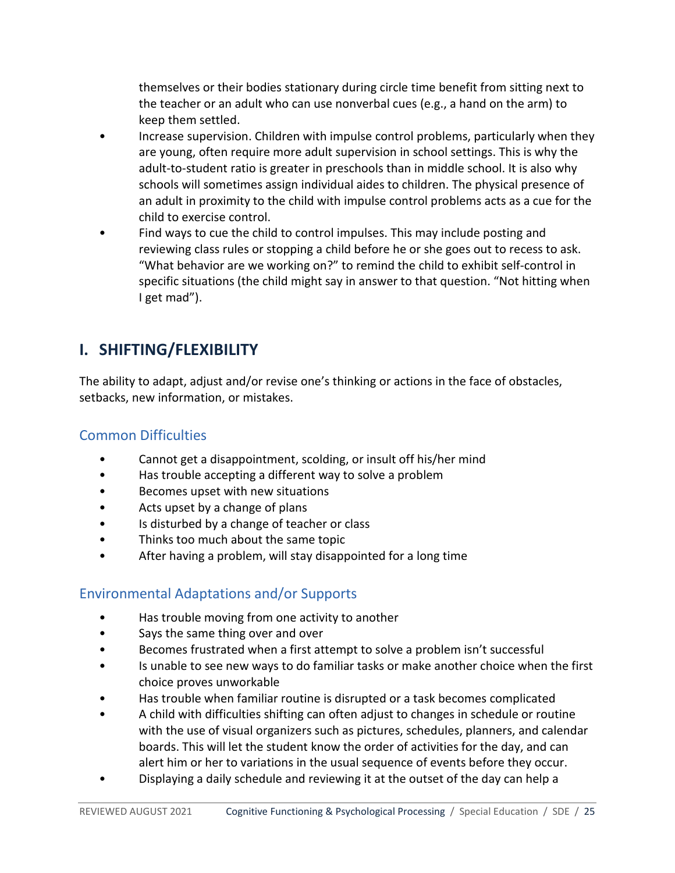themselves or their bodies stationary during circle time benefit from sitting next to the teacher or an adult who can use nonverbal cues (e.g., a hand on the arm) to keep them settled.

- Increase supervision. Children with impulse control problems, particularly when they are young, often require more adult supervision in school settings. This is why the adult-to-student ratio is greater in preschools than in middle school. It is also why schools will sometimes assign individual aides to children. The physical presence of an adult in proximity to the child with impulse control problems acts as a cue for the child to exercise control.
- Find ways to cue the child to control impulses. This may include posting and reviewing class rules or stopping a child before he or she goes out to recess to ask. "What behavior are we working on?" to remind the child to exhibit self-control in specific situations (the child might say in answer to that question. "Not hitting when I get mad").

# <span id="page-24-0"></span>**I. SHIFTING/FLEXIBILITY**

The ability to adapt, adjust and/or revise one's thinking or actions in the face of obstacles, setbacks, new information, or mistakes.

# <span id="page-24-1"></span>Common Difficulties

- Cannot get a disappointment, scolding, or insult off his/her mind
- Has trouble accepting a different way to solve a problem
- Becomes upset with new situations
- Acts upset by a change of plans
- Is disturbed by a change of teacher or class
- Thinks too much about the same topic
- After having a problem, will stay disappointed for a long time

# <span id="page-24-2"></span>Environmental Adaptations and/or Supports

- Has trouble moving from one activity to another
- Says the same thing over and over
- Becomes frustrated when a first attempt to solve a problem isn't successful
- Is unable to see new ways to do familiar tasks or make another choice when the first choice proves unworkable
- Has trouble when familiar routine is disrupted or a task becomes complicated
- A child with difficulties shifting can often adjust to changes in schedule or routine with the use of visual organizers such as pictures, schedules, planners, and calendar boards. This will let the student know the order of activities for the day, and can alert him or her to variations in the usual sequence of events before they occur.
- Displaying a daily schedule and reviewing it at the outset of the day can help a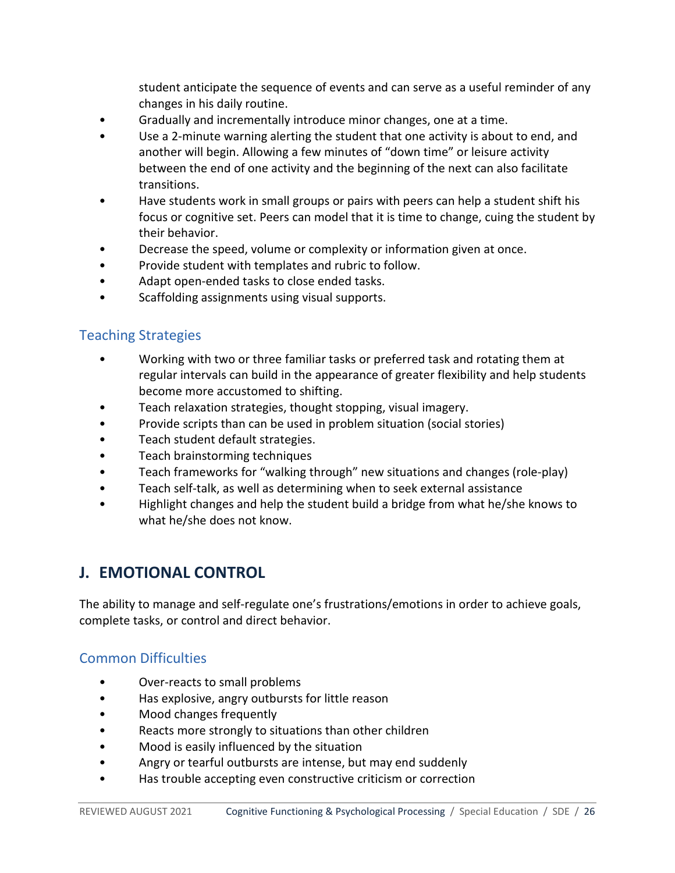student anticipate the sequence of events and can serve as a useful reminder of any changes in his daily routine.

- Gradually and incrementally introduce minor changes, one at a time.
- Use a 2-minute warning alerting the student that one activity is about to end, and another will begin. Allowing a few minutes of "down time" or leisure activity between the end of one activity and the beginning of the next can also facilitate transitions.
- Have students work in small groups or pairs with peers can help a student shift his focus or cognitive set. Peers can model that it is time to change, cuing the student by their behavior.
- Decrease the speed, volume or complexity or information given at once.
- Provide student with templates and rubric to follow.
- Adapt open-ended tasks to close ended tasks.
- Scaffolding assignments using visual supports.

#### <span id="page-25-0"></span>Teaching Strategies

- Working with two or three familiar tasks or preferred task and rotating them at regular intervals can build in the appearance of greater flexibility and help students become more accustomed to shifting.
- Teach relaxation strategies, thought stopping, visual imagery.
- Provide scripts than can be used in problem situation (social stories)
- Teach student default strategies.
- Teach brainstorming techniques
- Teach frameworks for "walking through" new situations and changes (role-play)
- Teach self-talk, as well as determining when to seek external assistance
- Highlight changes and help the student build a bridge from what he/she knows to what he/she does not know.

# <span id="page-25-1"></span>**J. EMOTIONAL CONTROL**

The ability to manage and self-regulate one's frustrations/emotions in order to achieve goals, complete tasks, or control and direct behavior.

#### <span id="page-25-2"></span>Common Difficulties

- Over-reacts to small problems
- Has explosive, angry outbursts for little reason
- Mood changes frequently
- Reacts more strongly to situations than other children
- Mood is easily influenced by the situation
- Angry or tearful outbursts are intense, but may end suddenly
- Has trouble accepting even constructive criticism or correction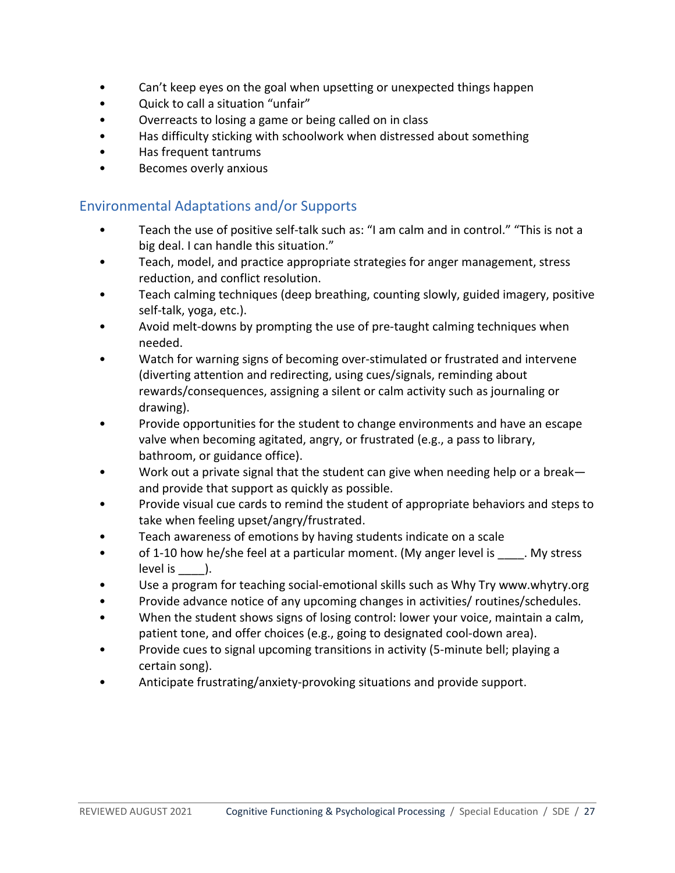- Can't keep eyes on the goal when upsetting or unexpected things happen
- Quick to call a situation "unfair"
- Overreacts to losing a game or being called on in class
- Has difficulty sticking with schoolwork when distressed about something
- Has frequent tantrums
- Becomes overly anxious

#### <span id="page-26-0"></span>Environmental Adaptations and/or Supports

- Teach the use of positive self-talk such as: "I am calm and in control." "This is not a big deal. I can handle this situation."
- Teach, model, and practice appropriate strategies for anger management, stress reduction, and conflict resolution.
- Teach calming techniques (deep breathing, counting slowly, guided imagery, positive self-talk, yoga, etc.).
- Avoid melt-downs by prompting the use of pre-taught calming techniques when needed.
- Watch for warning signs of becoming over-stimulated or frustrated and intervene (diverting attention and redirecting, using cues/signals, reminding about rewards/consequences, assigning a silent or calm activity such as journaling or drawing).
- Provide opportunities for the student to change environments and have an escape valve when becoming agitated, angry, or frustrated (e.g., a pass to library, bathroom, or guidance office).
- Work out a private signal that the student can give when needing help or a break and provide that support as quickly as possible.
- Provide visual cue cards to remind the student of appropriate behaviors and steps to take when feeling upset/angry/frustrated.
- Teach awareness of emotions by having students indicate on a scale
- of 1-10 how he/she feel at a particular moment. (My anger level is \_\_\_\_. My stress level is  $\qquad$ ).
- Use a program for teaching social-emotional skills such as Why Try www.whytry.org
- Provide advance notice of any upcoming changes in activities/ routines/schedules.
- When the student shows signs of losing control: lower your voice, maintain a calm, patient tone, and offer choices (e.g., going to designated cool-down area).
- Provide cues to signal upcoming transitions in activity (5-minute bell; playing a certain song).
- Anticipate frustrating/anxiety-provoking situations and provide support.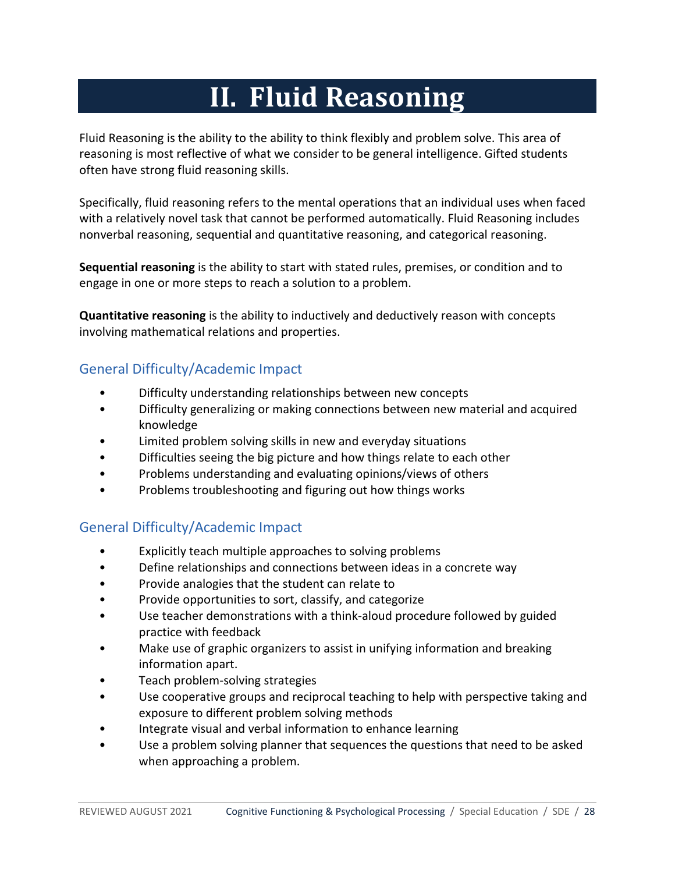# **II. Fluid Reasoning**

<span id="page-27-0"></span>Fluid Reasoning is the ability to the ability to think flexibly and problem solve. This area of reasoning is most reflective of what we consider to be general intelligence. Gifted students often have strong fluid reasoning skills.

Specifically, fluid reasoning refers to the mental operations that an individual uses when faced with a relatively novel task that cannot be performed automatically. Fluid Reasoning includes nonverbal reasoning, sequential and quantitative reasoning, and categorical reasoning.

**Sequential reasoning** is the ability to start with stated rules, premises, or condition and to engage in one or more steps to reach a solution to a problem.

**Quantitative reasoning** is the ability to inductively and deductively reason with concepts involving mathematical relations and properties.

# <span id="page-27-1"></span>General Difficulty/Academic Impact

- Difficulty understanding relationships between new concepts
- Difficulty generalizing or making connections between new material and acquired knowledge
- Limited problem solving skills in new and everyday situations
- Difficulties seeing the big picture and how things relate to each other
- Problems understanding and evaluating opinions/views of others
- Problems troubleshooting and figuring out how things works

# <span id="page-27-2"></span>General Difficulty/Academic Impact

- Explicitly teach multiple approaches to solving problems
- Define relationships and connections between ideas in a concrete way
- Provide analogies that the student can relate to
- Provide opportunities to sort, classify, and categorize
- Use teacher demonstrations with a think-aloud procedure followed by guided practice with feedback
- Make use of graphic organizers to assist in unifying information and breaking information apart.
- Teach problem-solving strategies
- Use cooperative groups and reciprocal teaching to help with perspective taking and exposure to different problem solving methods
- Integrate visual and verbal information to enhance learning
- Use a problem solving planner that sequences the questions that need to be asked when approaching a problem.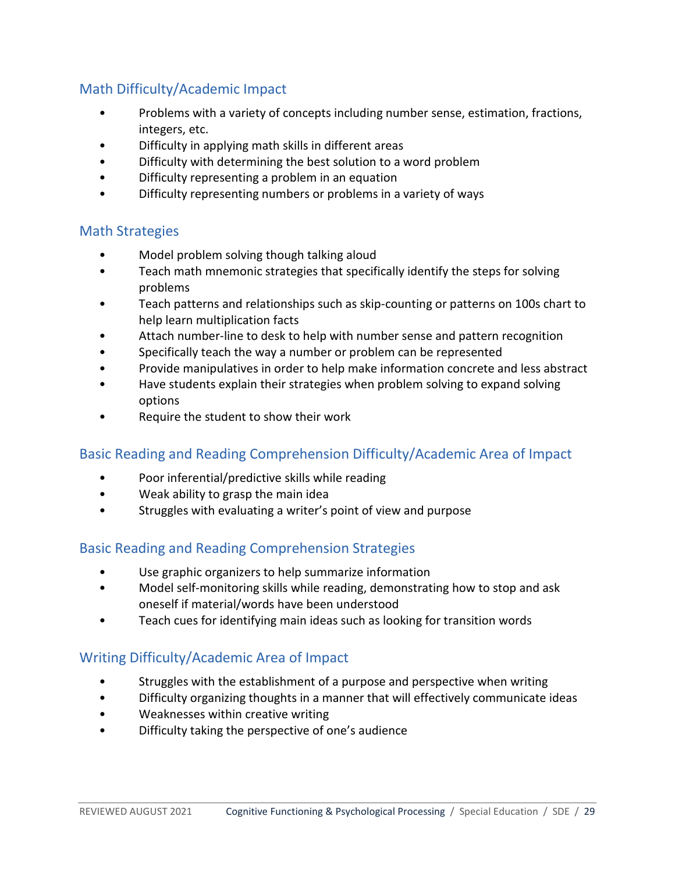# <span id="page-28-0"></span>Math Difficulty/Academic Impact

- Problems with a variety of concepts including number sense, estimation, fractions, integers, etc.
- Difficulty in applying math skills in different areas
- Difficulty with determining the best solution to a word problem
- Difficulty representing a problem in an equation
- Difficulty representing numbers or problems in a variety of ways

## <span id="page-28-1"></span>Math Strategies

- Model problem solving though talking aloud
- Teach math mnemonic strategies that specifically identify the steps for solving problems
- Teach patterns and relationships such as skip-counting or patterns on 100s chart to help learn multiplication facts
- Attach number-line to desk to help with number sense and pattern recognition
- Specifically teach the way a number or problem can be represented
- Provide manipulatives in order to help make information concrete and less abstract
- Have students explain their strategies when problem solving to expand solving options
- Require the student to show their work

## <span id="page-28-2"></span>Basic Reading and Reading Comprehension Difficulty/Academic Area of Impact

- Poor inferential/predictive skills while reading
- Weak ability to grasp the main idea
- Struggles with evaluating a writer's point of view and purpose

## <span id="page-28-3"></span>Basic Reading and Reading Comprehension Strategies

- Use graphic organizers to help summarize information
- Model self-monitoring skills while reading, demonstrating how to stop and ask oneself if material/words have been understood
- Teach cues for identifying main ideas such as looking for transition words

## <span id="page-28-4"></span>Writing Difficulty/Academic Area of Impact

- Struggles with the establishment of a purpose and perspective when writing
- Difficulty organizing thoughts in a manner that will effectively communicate ideas
- Weaknesses within creative writing
- Difficulty taking the perspective of one's audience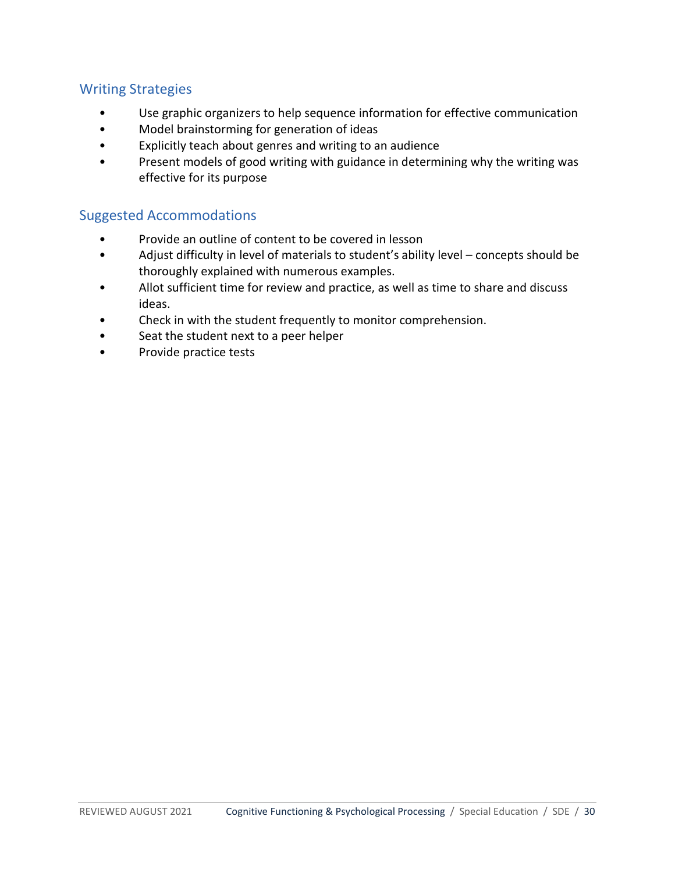## <span id="page-29-0"></span>Writing Strategies

- Use graphic organizers to help sequence information for effective communication
- Model brainstorming for generation of ideas
- Explicitly teach about genres and writing to an audience
- <span id="page-29-1"></span>• Present models of good writing with guidance in determining why the writing was effective for its purpose

- Provide an outline of content to be covered in lesson
- Adjust difficulty in level of materials to student's ability level concepts should be thoroughly explained with numerous examples.
- Allot sufficient time for review and practice, as well as time to share and discuss ideas.
- Check in with the student frequently to monitor comprehension.
- Seat the student next to a peer helper
- Provide practice tests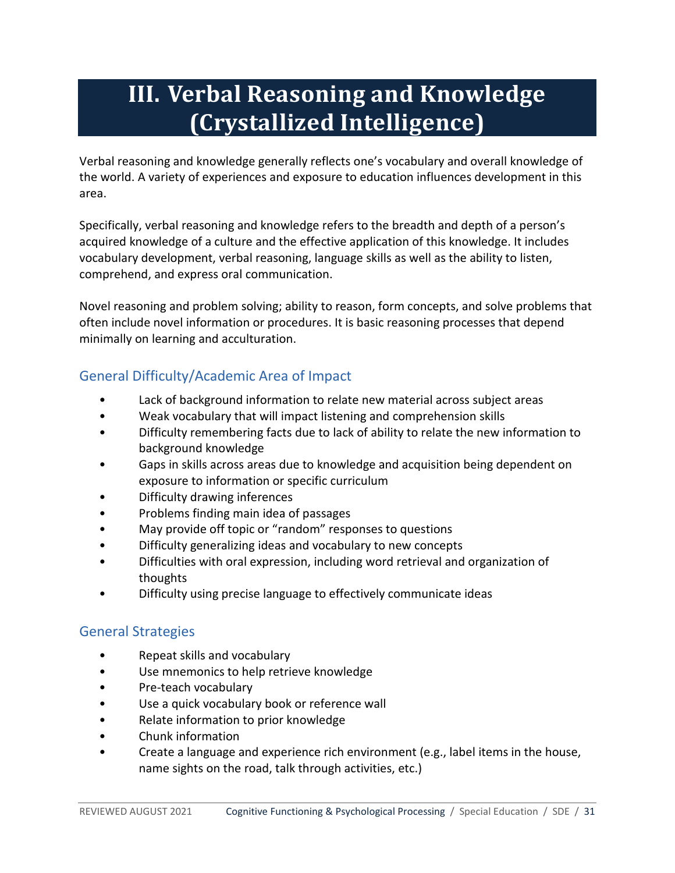# <span id="page-30-0"></span>**III. Verbal Reasoning and Knowledge (Crystallized Intelligence)**

Verbal reasoning and knowledge generally reflects one's vocabulary and overall knowledge of the world. A variety of experiences and exposure to education influences development in this area.

Specifically, verbal reasoning and knowledge refers to the breadth and depth of a person's acquired knowledge of a culture and the effective application of this knowledge. It includes vocabulary development, verbal reasoning, language skills as well as the ability to listen, comprehend, and express oral communication.

Novel reasoning and problem solving; ability to reason, form concepts, and solve problems that often include novel information or procedures. It is basic reasoning processes that depend minimally on learning and acculturation.

# <span id="page-30-1"></span>General Difficulty/Academic Area of Impact

- Lack of background information to relate new material across subject areas
- Weak vocabulary that will impact listening and comprehension skills
- Difficulty remembering facts due to lack of ability to relate the new information to background knowledge
- Gaps in skills across areas due to knowledge and acquisition being dependent on exposure to information or specific curriculum
- Difficulty drawing inferences
- Problems finding main idea of passages
- May provide off topic or "random" responses to questions
- Difficulty generalizing ideas and vocabulary to new concepts
- Difficulties with oral expression, including word retrieval and organization of thoughts
- Difficulty using precise language to effectively communicate ideas

## <span id="page-30-2"></span>General Strategies

- Repeat skills and vocabulary
- Use mnemonics to help retrieve knowledge
- Pre-teach vocabulary
- Use a quick vocabulary book or reference wall
- Relate information to prior knowledge
- Chunk information
- Create a language and experience rich environment (e.g., label items in the house, name sights on the road, talk through activities, etc.)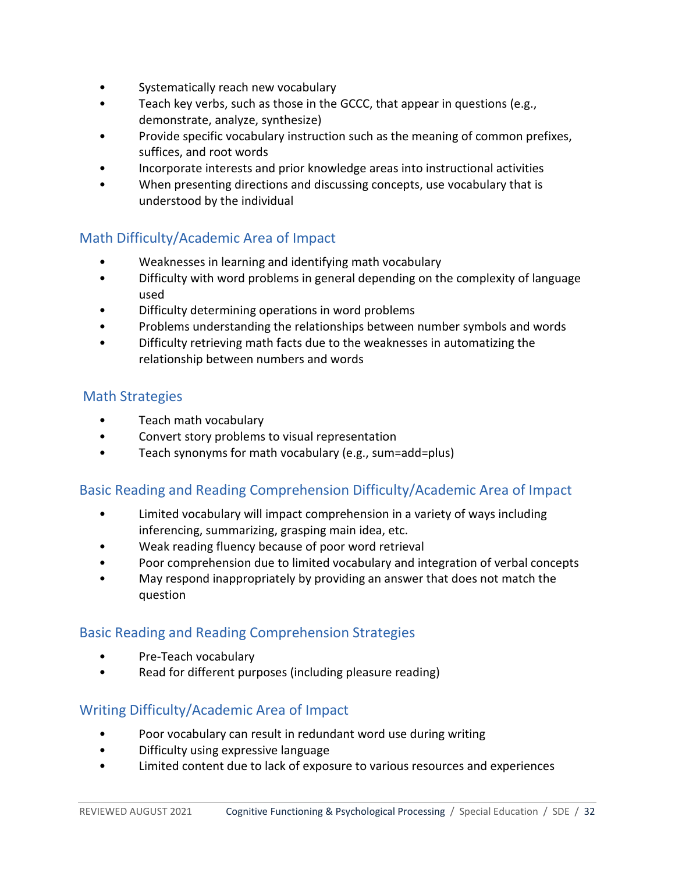- Systematically reach new vocabulary
- Teach key verbs, such as those in the GCCC, that appear in questions (e.g., demonstrate, analyze, synthesize)
- Provide specific vocabulary instruction such as the meaning of common prefixes, suffices, and root words
- Incorporate interests and prior knowledge areas into instructional activities
- When presenting directions and discussing concepts, use vocabulary that is understood by the individual

## <span id="page-31-0"></span>Math Difficulty/Academic Area of Impact

- Weaknesses in learning and identifying math vocabulary
- Difficulty with word problems in general depending on the complexity of language used
- Difficulty determining operations in word problems
- Problems understanding the relationships between number symbols and words
- Difficulty retrieving math facts due to the weaknesses in automatizing the relationship between numbers and words

#### <span id="page-31-1"></span>Math Strategies

- Teach math vocabulary
- Convert story problems to visual representation
- Teach synonyms for math vocabulary (e.g., sum=add=plus)

## <span id="page-31-2"></span>Basic Reading and Reading Comprehension Difficulty/Academic Area of Impact

- Limited vocabulary will impact comprehension in a variety of ways including inferencing, summarizing, grasping main idea, etc.
- Weak reading fluency because of poor word retrieval
- Poor comprehension due to limited vocabulary and integration of verbal concepts
- May respond inappropriately by providing an answer that does not match the question

## <span id="page-31-3"></span>Basic Reading and Reading Comprehension Strategies

- Pre-Teach vocabulary
- Read for different purposes (including pleasure reading)

## <span id="page-31-4"></span>Writing Difficulty/Academic Area of Impact

- Poor vocabulary can result in redundant word use during writing
- Difficulty using expressive language
- Limited content due to lack of exposure to various resources and experiences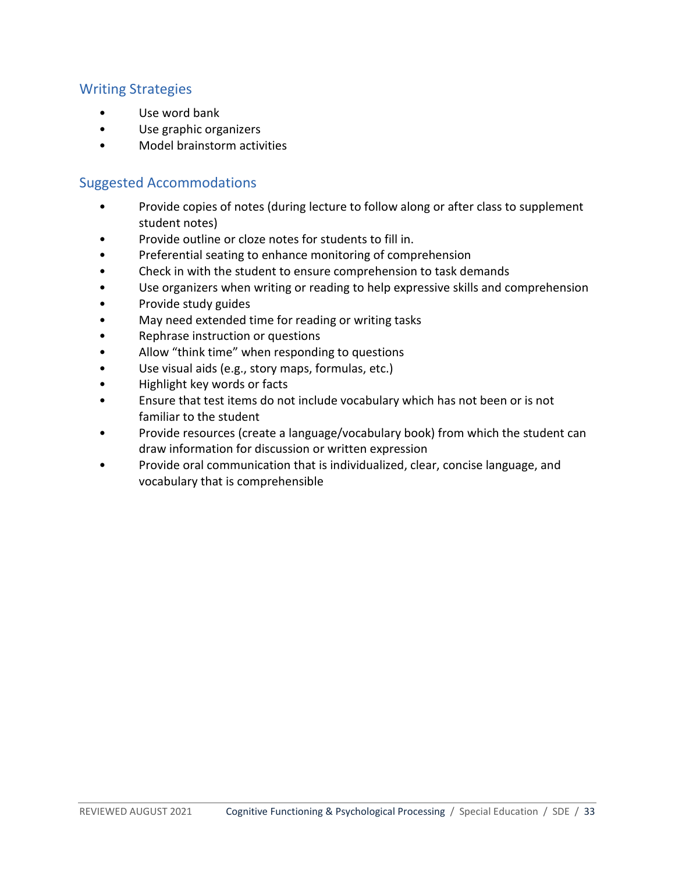#### <span id="page-32-0"></span>Writing Strategies

- Use word bank
- Use graphic organizers
- <span id="page-32-1"></span>• Model brainstorm activities

- Provide copies of notes (during lecture to follow along or after class to supplement student notes)
- Provide outline or cloze notes for students to fill in.
- Preferential seating to enhance monitoring of comprehension
- Check in with the student to ensure comprehension to task demands
- Use organizers when writing or reading to help expressive skills and comprehension
- Provide study guides
- May need extended time for reading or writing tasks
- Rephrase instruction or questions
- Allow "think time" when responding to questions
- Use visual aids (e.g., story maps, formulas, etc.)
- Highlight key words or facts
- Ensure that test items do not include vocabulary which has not been or is not familiar to the student
- Provide resources (create a language/vocabulary book) from which the student can draw information for discussion or written expression
- Provide oral communication that is individualized, clear, concise language, and vocabulary that is comprehensible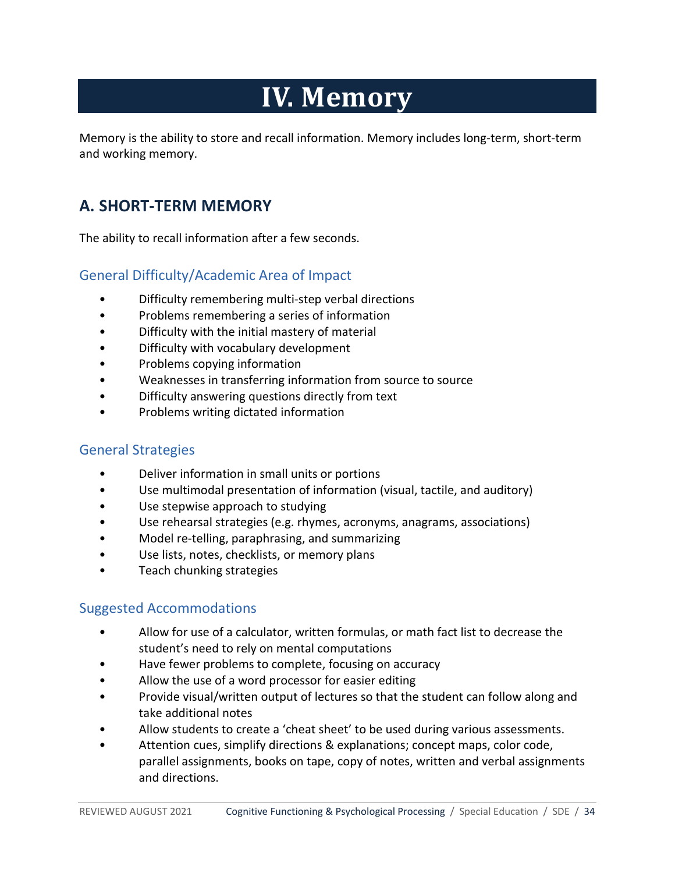# **IV. Memory**

<span id="page-33-1"></span><span id="page-33-0"></span>Memory is the ability to store and recall information. Memory includes long-term, short-term and working memory.

# **A. SHORT-TERM MEMORY**

<span id="page-33-2"></span>The ability to recall information after a few seconds.

#### General Difficulty/Academic Area of Impact

- Difficulty remembering multi-step verbal directions
- Problems remembering a series of information
- Difficulty with the initial mastery of material
- Difficulty with vocabulary development
- Problems copying information
- Weaknesses in transferring information from source to source
- Difficulty answering questions directly from text
- Problems writing dictated information

#### <span id="page-33-3"></span>General Strategies

- Deliver information in small units or portions
- Use multimodal presentation of information (visual, tactile, and auditory)
- Use stepwise approach to studying
- Use rehearsal strategies (e.g. rhymes, acronyms, anagrams, associations)
- Model re-telling, paraphrasing, and summarizing
- Use lists, notes, checklists, or memory plans
- <span id="page-33-4"></span>• Teach chunking strategies

- Allow for use of a calculator, written formulas, or math fact list to decrease the student's need to rely on mental computations
- Have fewer problems to complete, focusing on accuracy
- Allow the use of a word processor for easier editing
- Provide visual/written output of lectures so that the student can follow along and take additional notes
- Allow students to create a 'cheat sheet' to be used during various assessments.
- Attention cues, simplify directions & explanations; concept maps, color code, parallel assignments, books on tape, copy of notes, written and verbal assignments and directions.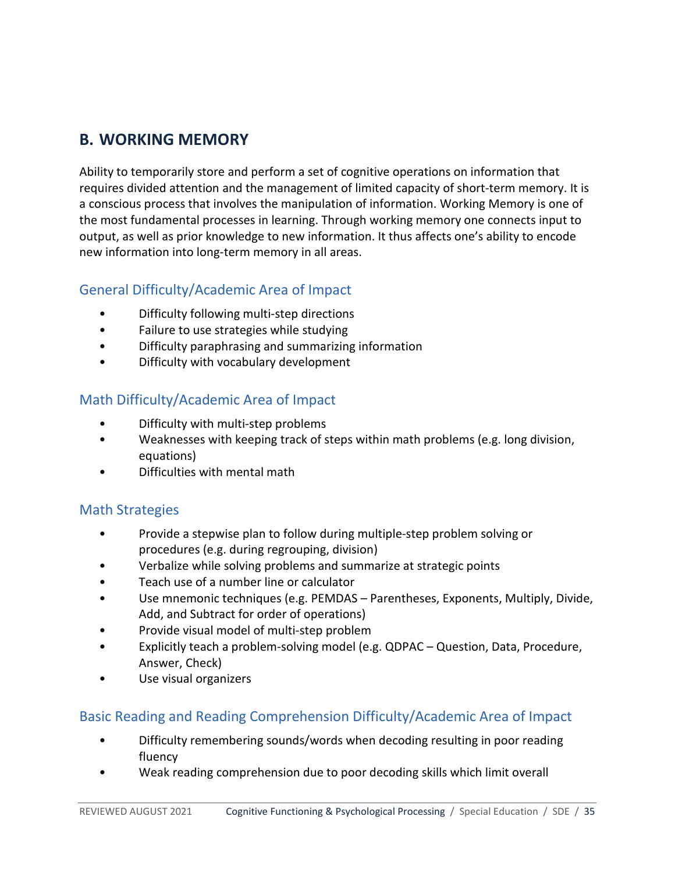# <span id="page-34-0"></span>**B. WORKING MEMORY**

Ability to temporarily store and perform a set of cognitive operations on information that requires divided attention and the management of limited capacity of short-term memory. It is a conscious process that involves the manipulation of information. Working Memory is one of the most fundamental processes in learning. Through working memory one connects input to output, as well as prior knowledge to new information. It thus affects one's ability to encode new information into long-term memory in all areas.

## <span id="page-34-1"></span>General Difficulty/Academic Area of Impact

- Difficulty following multi-step directions
- Failure to use strategies while studying
- Difficulty paraphrasing and summarizing information
- Difficulty with vocabulary development

## <span id="page-34-2"></span>Math Difficulty/Academic Area of Impact

- Difficulty with multi-step problems
- Weaknesses with keeping track of steps within math problems (e.g. long division, equations)
- Difficulties with mental math

#### <span id="page-34-3"></span>Math Strategies

- Provide a stepwise plan to follow during multiple-step problem solving or procedures (e.g. during regrouping, division)
- Verbalize while solving problems and summarize at strategic points
- Teach use of a number line or calculator
- Use mnemonic techniques (e.g. PEMDAS Parentheses, Exponents, Multiply, Divide, Add, and Subtract for order of operations)
- Provide visual model of multi-step problem
- Explicitly teach a problem-solving model (e.g. QDPAC Question, Data, Procedure, Answer, Check)
- Use visual organizers

#### <span id="page-34-4"></span>Basic Reading and Reading Comprehension Difficulty/Academic Area of Impact

- Difficulty remembering sounds/words when decoding resulting in poor reading fluency
- Weak reading comprehension due to poor decoding skills which limit overall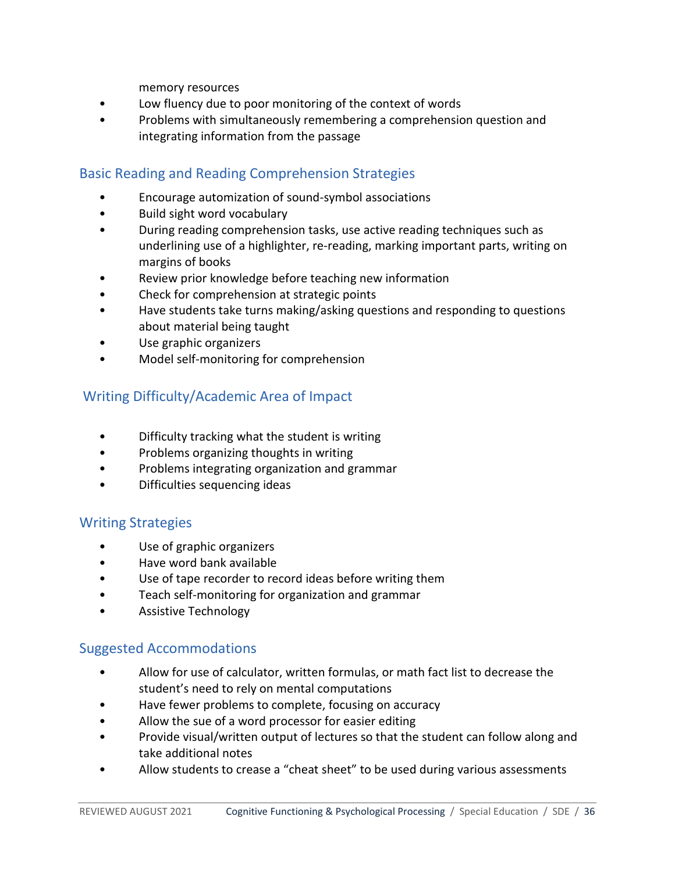memory resources

- Low fluency due to poor monitoring of the context of words
- Problems with simultaneously remembering a comprehension question and integrating information from the passage

# <span id="page-35-0"></span>Basic Reading and Reading Comprehension Strategies

- Encourage automization of sound-symbol associations
- Build sight word vocabulary
- During reading comprehension tasks, use active reading techniques such as underlining use of a highlighter, re-reading, marking important parts, writing on margins of books
- Review prior knowledge before teaching new information
- Check for comprehension at strategic points
- Have students take turns making/asking questions and responding to questions about material being taught
- Use graphic organizers
- Model self-monitoring for comprehension

# <span id="page-35-1"></span>Writing Difficulty/Academic Area of Impact

- Difficulty tracking what the student is writing
- Problems organizing thoughts in writing
- Problems integrating organization and grammar
- Difficulties sequencing ideas

# <span id="page-35-2"></span>Writing Strategies

- Use of graphic organizers
- Have word bank available
- Use of tape recorder to record ideas before writing them
- Teach self-monitoring for organization and grammar
- <span id="page-35-3"></span>• Assistive Technology

- Allow for use of calculator, written formulas, or math fact list to decrease the student's need to rely on mental computations
- Have fewer problems to complete, focusing on accuracy
- Allow the sue of a word processor for easier editing
- Provide visual/written output of lectures so that the student can follow along and take additional notes
- Allow students to crease a "cheat sheet" to be used during various assessments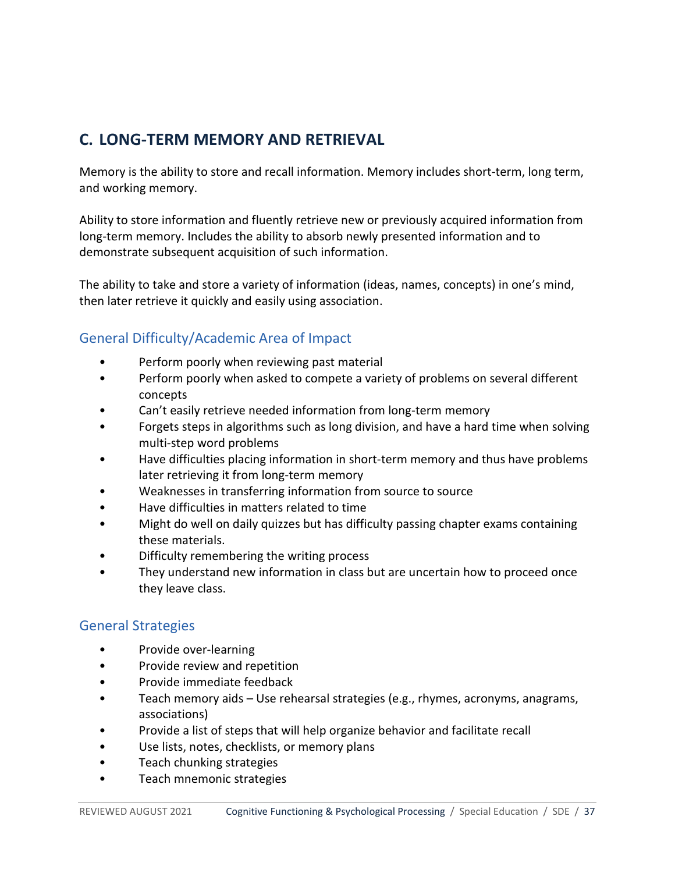# <span id="page-36-0"></span>**C. LONG-TERM MEMORY AND RETRIEVAL**

Memory is the ability to store and recall information. Memory includes short-term, long term, and working memory.

Ability to store information and fluently retrieve new or previously acquired information from long-term memory. Includes the ability to absorb newly presented information and to demonstrate subsequent acquisition of such information.

The ability to take and store a variety of information (ideas, names, concepts) in one's mind, then later retrieve it quickly and easily using association.

## <span id="page-36-1"></span>General Difficulty/Academic Area of Impact

- Perform poorly when reviewing past material
- Perform poorly when asked to compete a variety of problems on several different concepts
- Can't easily retrieve needed information from long-term memory
- Forgets steps in algorithms such as long division, and have a hard time when solving multi-step word problems
- Have difficulties placing information in short-term memory and thus have problems later retrieving it from long-term memory
- Weaknesses in transferring information from source to source
- Have difficulties in matters related to time
- Might do well on daily quizzes but has difficulty passing chapter exams containing these materials.
- Difficulty remembering the writing process
- They understand new information in class but are uncertain how to proceed once they leave class.

#### <span id="page-36-2"></span>General Strategies

- Provide over-learning
- Provide review and repetition
- Provide immediate feedback
- Teach memory aids Use rehearsal strategies (e.g., rhymes, acronyms, anagrams, associations)
- Provide a list of steps that will help organize behavior and facilitate recall
- Use lists, notes, checklists, or memory plans
- Teach chunking strategies
- Teach mnemonic strategies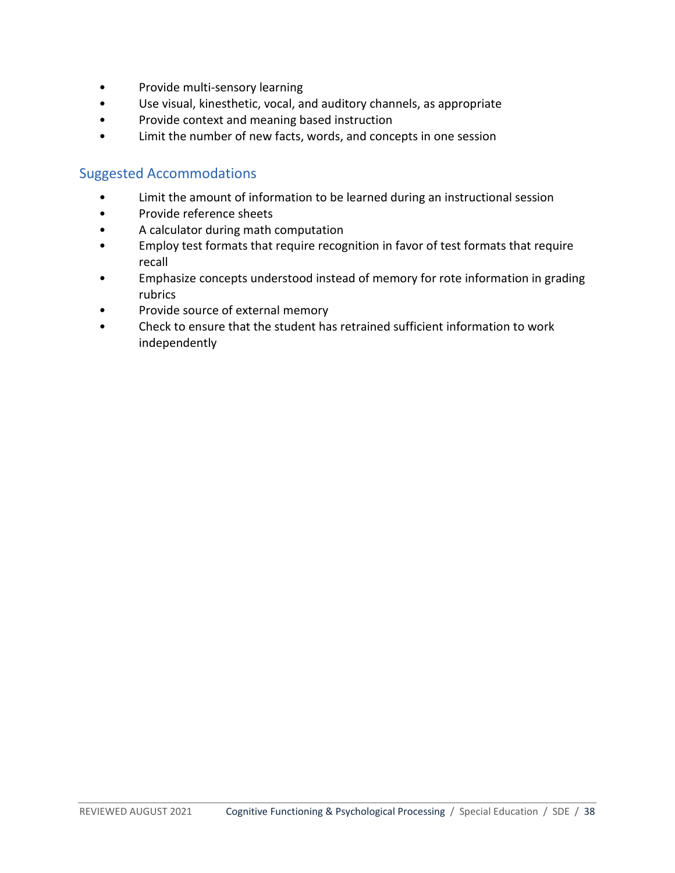- Provide multi-sensory learning
- Use visual, kinesthetic, vocal, and auditory channels, as appropriate
- Provide context and meaning based instruction
- <span id="page-37-0"></span>• Limit the number of new facts, words, and concepts in one session

- Limit the amount of information to be learned during an instructional session
- Provide reference sheets
- A calculator during math computation
- Employ test formats that require recognition in favor of test formats that require recall
- Emphasize concepts understood instead of memory for rote information in grading rubrics
- Provide source of external memory
- Check to ensure that the student has retrained sufficient information to work independently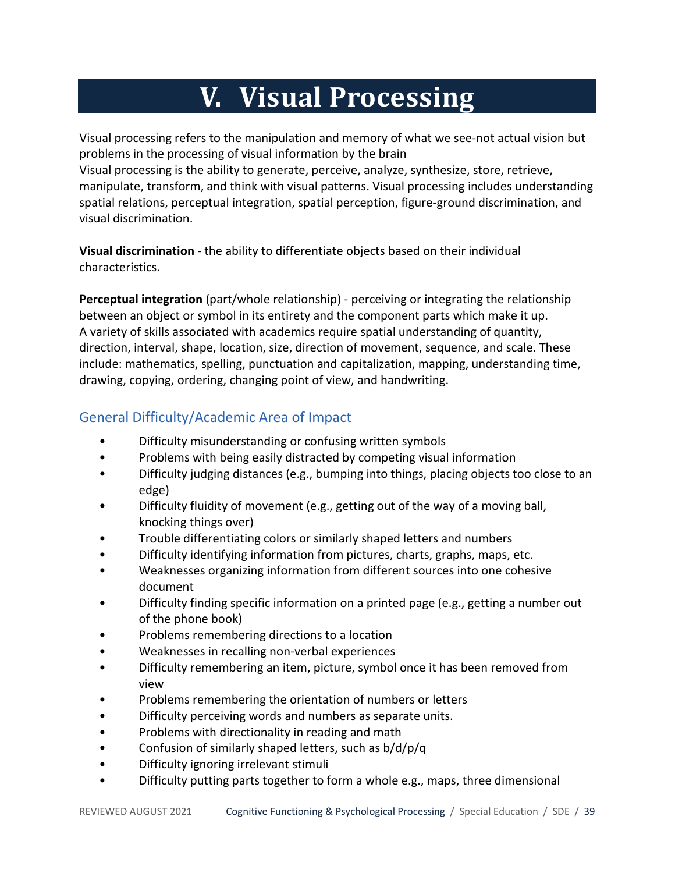# **V. Visual Processing**

<span id="page-38-0"></span>Visual processing refers to the manipulation and memory of what we see-not actual vision but problems in the processing of visual information by the brain

Visual processing is the ability to generate, perceive, analyze, synthesize, store, retrieve, manipulate, transform, and think with visual patterns. Visual processing includes understanding spatial relations, perceptual integration, spatial perception, figure-ground discrimination, and visual discrimination.

**Visual discrimination** - the ability to differentiate objects based on their individual characteristics.

**Perceptual integration** (part/whole relationship) - perceiving or integrating the relationship between an object or symbol in its entirety and the component parts which make it up. A variety of skills associated with academics require spatial understanding of quantity, direction, interval, shape, location, size, direction of movement, sequence, and scale. These include: mathematics, spelling, punctuation and capitalization, mapping, understanding time, drawing, copying, ordering, changing point of view, and handwriting.

# <span id="page-38-1"></span>General Difficulty/Academic Area of Impact

- Difficulty misunderstanding or confusing written symbols
- Problems with being easily distracted by competing visual information
- Difficulty judging distances (e.g., bumping into things, placing objects too close to an edge)
- Difficulty fluidity of movement (e.g., getting out of the way of a moving ball, knocking things over)
- Trouble differentiating colors or similarly shaped letters and numbers
- Difficulty identifying information from pictures, charts, graphs, maps, etc.
- Weaknesses organizing information from different sources into one cohesive document
- Difficulty finding specific information on a printed page (e.g., getting a number out of the phone book)
- Problems remembering directions to a location
- Weaknesses in recalling non-verbal experiences
- Difficulty remembering an item, picture, symbol once it has been removed from view
- Problems remembering the orientation of numbers or letters
- Difficulty perceiving words and numbers as separate units.
- Problems with directionality in reading and math
- Confusion of similarly shaped letters, such as b/d/p/q
- Difficulty ignoring irrelevant stimuli
- Difficulty putting parts together to form a whole e.g., maps, three dimensional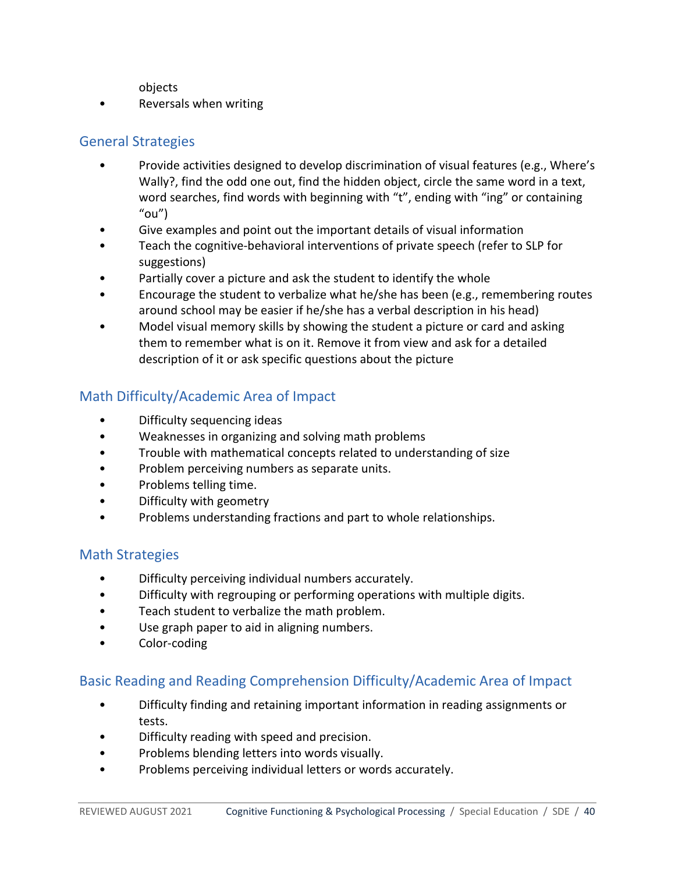objects

• Reversals when writing

## <span id="page-39-0"></span>General Strategies

- Provide activities designed to develop discrimination of visual features (e.g., Where's Wally?, find the odd one out, find the hidden object, circle the same word in a text, word searches, find words with beginning with "t", ending with "ing" or containing  $"ou"$
- Give examples and point out the important details of visual information
- Teach the cognitive-behavioral interventions of private speech (refer to SLP for suggestions)
- Partially cover a picture and ask the student to identify the whole
- Encourage the student to verbalize what he/she has been (e.g., remembering routes around school may be easier if he/she has a verbal description in his head)
- Model visual memory skills by showing the student a picture or card and asking them to remember what is on it. Remove it from view and ask for a detailed description of it or ask specific questions about the picture

# <span id="page-39-1"></span>Math Difficulty/Academic Area of Impact

- Difficulty sequencing ideas
- Weaknesses in organizing and solving math problems
- Trouble with mathematical concepts related to understanding of size
- Problem perceiving numbers as separate units.
- Problems telling time.
- Difficulty with geometry
- Problems understanding fractions and part to whole relationships.

## <span id="page-39-2"></span>Math Strategies

- Difficulty perceiving individual numbers accurately.
- Difficulty with regrouping or performing operations with multiple digits.
- Teach student to verbalize the math problem.
- Use graph paper to aid in aligning numbers.
- Color-coding

## <span id="page-39-3"></span>Basic Reading and Reading Comprehension Difficulty/Academic Area of Impact

- Difficulty finding and retaining important information in reading assignments or tests.
- Difficulty reading with speed and precision.
- Problems blending letters into words visually.
- Problems perceiving individual letters or words accurately.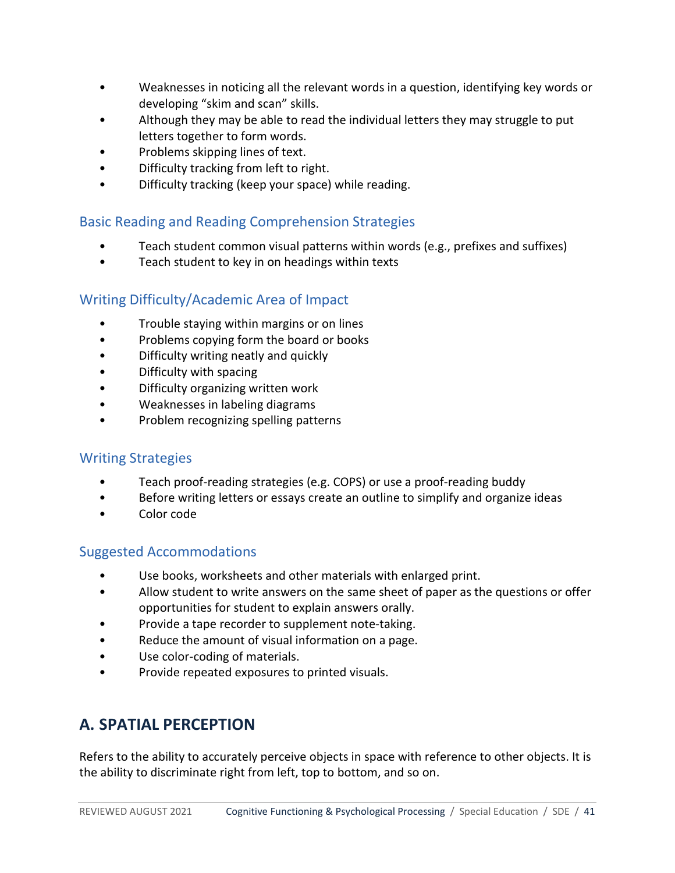- Weaknesses in noticing all the relevant words in a question, identifying key words or developing "skim and scan" skills.
- Although they may be able to read the individual letters they may struggle to put letters together to form words.
- Problems skipping lines of text.
- Difficulty tracking from left to right.
- Difficulty tracking (keep your space) while reading.

## <span id="page-40-0"></span>Basic Reading and Reading Comprehension Strategies

- Teach student common visual patterns within words (e.g., prefixes and suffixes)
- Teach student to key in on headings within texts

## <span id="page-40-1"></span>Writing Difficulty/Academic Area of Impact

- Trouble staying within margins or on lines
- Problems copying form the board or books
- Difficulty writing neatly and quickly
- Difficulty with spacing
- Difficulty organizing written work
- Weaknesses in labeling diagrams
- Problem recognizing spelling patterns

#### <span id="page-40-2"></span>Writing Strategies

- Teach proof-reading strategies (e.g. COPS) or use a proof-reading buddy
- Before writing letters or essays create an outline to simplify and organize ideas
- Color code

## <span id="page-40-3"></span>Suggested Accommodations

- Use books, worksheets and other materials with enlarged print.
- Allow student to write answers on the same sheet of paper as the questions or offer opportunities for student to explain answers orally.
- Provide a tape recorder to supplement note-taking.
- Reduce the amount of visual information on a page.
- Use color-coding of materials.
- <span id="page-40-4"></span>• Provide repeated exposures to printed visuals.

# **A. SPATIAL PERCEPTION**

Refers to the ability to accurately perceive objects in space with reference to other objects. It is the ability to discriminate right from left, top to bottom, and so on.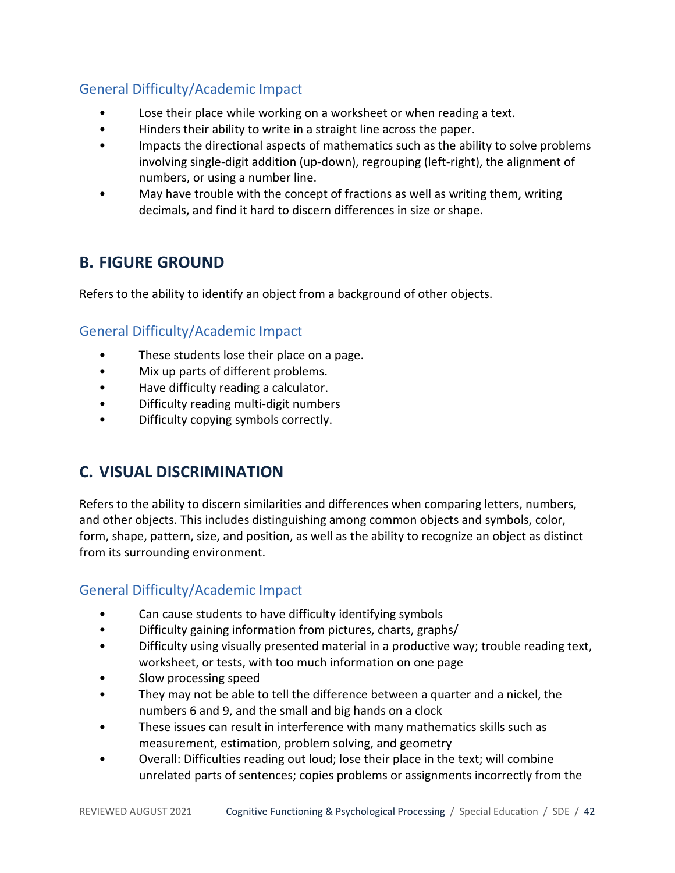# <span id="page-41-0"></span>General Difficulty/Academic Impact

- Lose their place while working on a worksheet or when reading a text.
- Hinders their ability to write in a straight line across the paper.
- Impacts the directional aspects of mathematics such as the ability to solve problems involving single-digit addition (up-down), regrouping (left-right), the alignment of numbers, or using a number line.
- May have trouble with the concept of fractions as well as writing them, writing decimals, and find it hard to discern differences in size or shape.

# <span id="page-41-1"></span>**B. FIGURE GROUND**

<span id="page-41-2"></span>Refers to the ability to identify an object from a background of other objects.

# General Difficulty/Academic Impact

- These students lose their place on a page.
- Mix up parts of different problems.
- Have difficulty reading a calculator.
- Difficulty reading multi-digit numbers
- <span id="page-41-3"></span>• Difficulty copying symbols correctly.

# **C. VISUAL DISCRIMINATION**

Refers to the ability to discern similarities and differences when comparing letters, numbers, and other objects. This includes distinguishing among common objects and symbols, color, form, shape, pattern, size, and position, as well as the ability to recognize an object as distinct from its surrounding environment.

# <span id="page-41-4"></span>General Difficulty/Academic Impact

- Can cause students to have difficulty identifying symbols
- Difficulty gaining information from pictures, charts, graphs/
- Difficulty using visually presented material in a productive way; trouble reading text, worksheet, or tests, with too much information on one page
- Slow processing speed
- They may not be able to tell the difference between a quarter and a nickel, the numbers 6 and 9, and the small and big hands on a clock
- These issues can result in interference with many mathematics skills such as measurement, estimation, problem solving, and geometry
- Overall: Difficulties reading out loud; lose their place in the text; will combine unrelated parts of sentences; copies problems or assignments incorrectly from the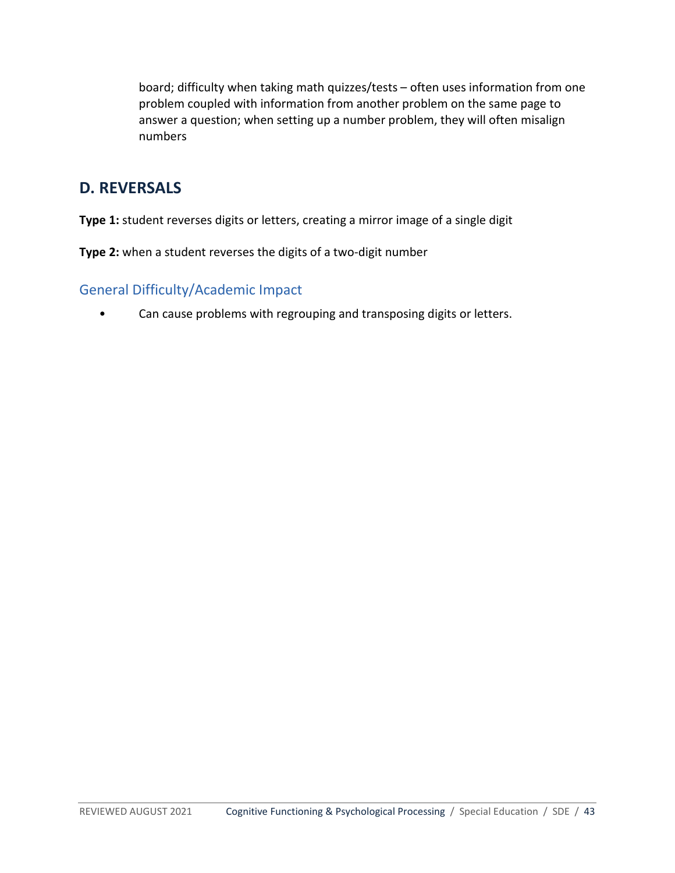board; difficulty when taking math quizzes/tests – often uses information from one problem coupled with information from another problem on the same page to answer a question; when setting up a number problem, they will often misalign numbers

# <span id="page-42-0"></span>**D. REVERSALS**

**Type 1:** student reverses digits or letters, creating a mirror image of a single digit

<span id="page-42-1"></span>**Type 2:** when a student reverses the digits of a two-digit number

## General Difficulty/Academic Impact

• Can cause problems with regrouping and transposing digits or letters.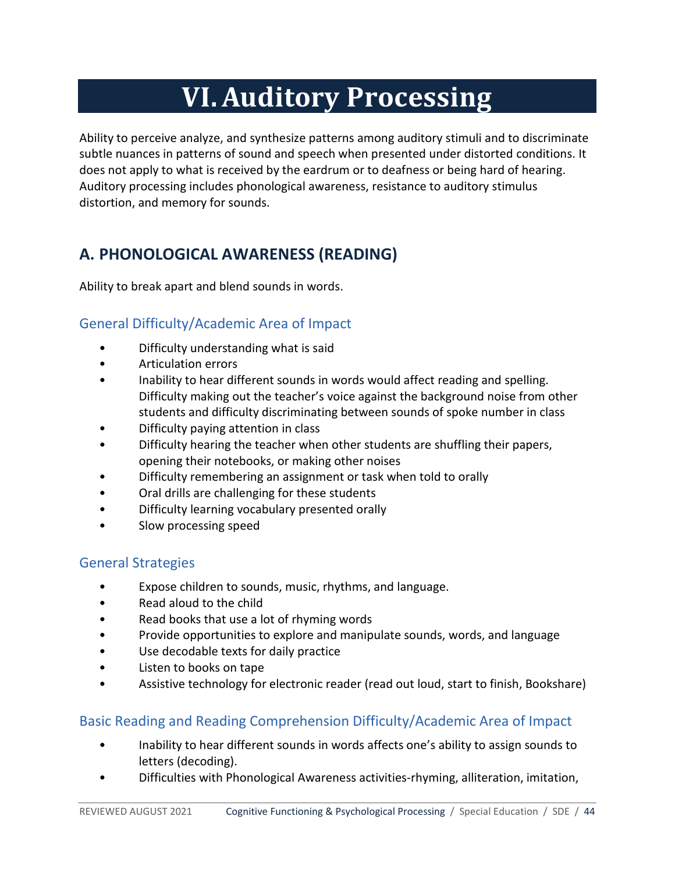# **VI.Auditory Processing**

<span id="page-43-0"></span>Ability to perceive analyze, and synthesize patterns among auditory stimuli and to discriminate subtle nuances in patterns of sound and speech when presented under distorted conditions. It does not apply to what is received by the eardrum or to deafness or being hard of hearing. Auditory processing includes phonological awareness, resistance to auditory stimulus distortion, and memory for sounds.

# <span id="page-43-1"></span>**A. PHONOLOGICAL AWARENESS (READING)**

<span id="page-43-2"></span>Ability to break apart and blend sounds in words.

# General Difficulty/Academic Area of Impact

- Difficulty understanding what is said
- Articulation errors
- Inability to hear different sounds in words would affect reading and spelling. Difficulty making out the teacher's voice against the background noise from other students and difficulty discriminating between sounds of spoke number in class
- Difficulty paying attention in class
- Difficulty hearing the teacher when other students are shuffling their papers, opening their notebooks, or making other noises
- Difficulty remembering an assignment or task when told to orally
- Oral drills are challenging for these students
- Difficulty learning vocabulary presented orally
- Slow processing speed

# <span id="page-43-3"></span>General Strategies

- Expose children to sounds, music, rhythms, and language.
- Read aloud to the child
- Read books that use a lot of rhyming words
- Provide opportunities to explore and manipulate sounds, words, and language
- Use decodable texts for daily practice
- Listen to books on tape
- Assistive technology for electronic reader (read out loud, start to finish, Bookshare)

# <span id="page-43-4"></span>Basic Reading and Reading Comprehension Difficulty/Academic Area of Impact

- Inability to hear different sounds in words affects one's ability to assign sounds to letters (decoding).
- Difficulties with Phonological Awareness activities-rhyming, alliteration, imitation,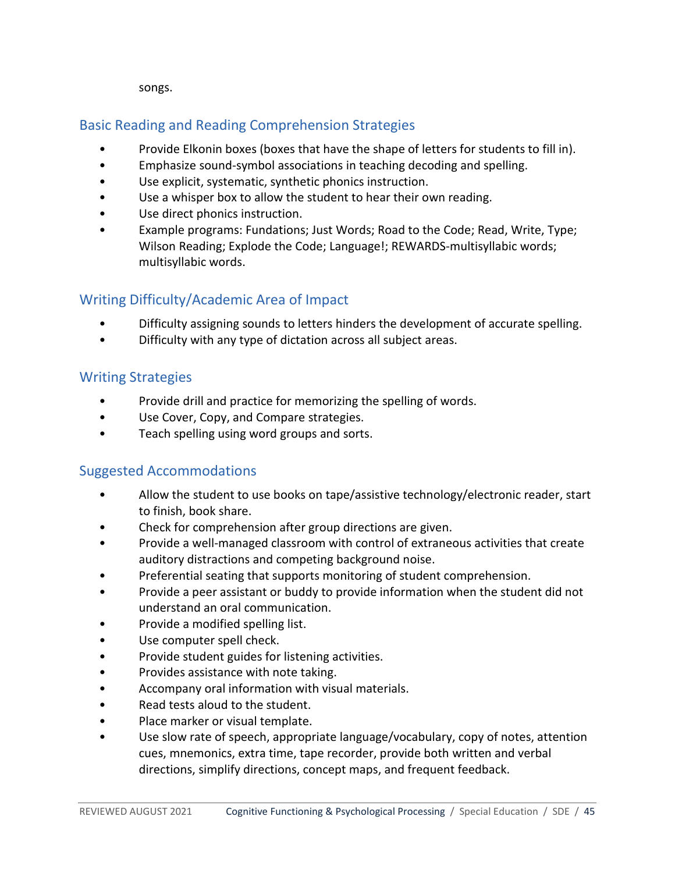songs.

# <span id="page-44-0"></span>Basic Reading and Reading Comprehension Strategies

- Provide Elkonin boxes (boxes that have the shape of letters for students to fill in).
- Emphasize sound-symbol associations in teaching decoding and spelling.
- Use explicit, systematic, synthetic phonics instruction.
- Use a whisper box to allow the student to hear their own reading.
- Use direct phonics instruction.
- Example programs: Fundations; Just Words; Road to the Code; Read, Write, Type; Wilson Reading; Explode the Code; Language!; REWARDS-multisyllabic words; multisyllabic words.

# <span id="page-44-1"></span>Writing Difficulty/Academic Area of Impact

- Difficulty assigning sounds to letters hinders the development of accurate spelling.
- Difficulty with any type of dictation across all subject areas.

## <span id="page-44-2"></span>Writing Strategies

- Provide drill and practice for memorizing the spelling of words.
- Use Cover, Copy, and Compare strategies.
- <span id="page-44-3"></span>• Teach spelling using word groups and sorts.

- Allow the student to use books on tape/assistive technology/electronic reader, start to finish, book share.
- Check for comprehension after group directions are given.
- Provide a well-managed classroom with control of extraneous activities that create auditory distractions and competing background noise.
- Preferential seating that supports monitoring of student comprehension.
- Provide a peer assistant or buddy to provide information when the student did not understand an oral communication.
- Provide a modified spelling list.
- Use computer spell check.
- Provide student guides for listening activities.
- Provides assistance with note taking.
- Accompany oral information with visual materials.
- Read tests aloud to the student.
- Place marker or visual template.
- Use slow rate of speech, appropriate language/vocabulary, copy of notes, attention cues, mnemonics, extra time, tape recorder, provide both written and verbal directions, simplify directions, concept maps, and frequent feedback.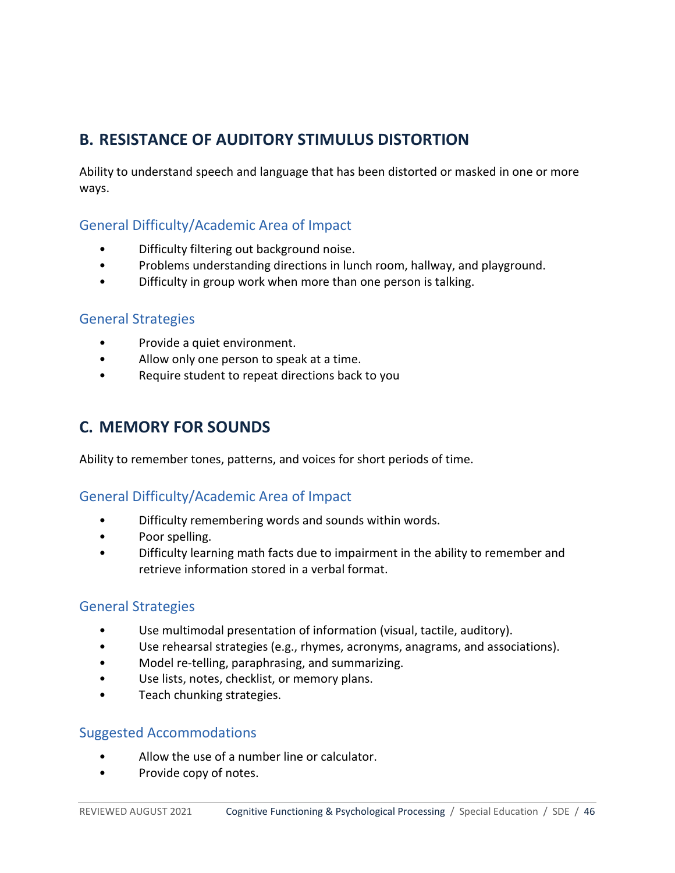# <span id="page-45-0"></span>**B. RESISTANCE OF AUDITORY STIMULUS DISTORTION**

Ability to understand speech and language that has been distorted or masked in one or more ways.

#### <span id="page-45-1"></span>General Difficulty/Academic Area of Impact

- Difficulty filtering out background noise.
- Problems understanding directions in lunch room, hallway, and playground.
- Difficulty in group work when more than one person is talking.

#### <span id="page-45-2"></span>General Strategies

- Provide a quiet environment.
- Allow only one person to speak at a time.
- <span id="page-45-3"></span>Require student to repeat directions back to you

# **C. MEMORY FOR SOUNDS**

<span id="page-45-4"></span>Ability to remember tones, patterns, and voices for short periods of time.

#### General Difficulty/Academic Area of Impact

- Difficulty remembering words and sounds within words.
- Poor spelling.
- Difficulty learning math facts due to impairment in the ability to remember and retrieve information stored in a verbal format.

#### <span id="page-45-5"></span>General Strategies

- Use multimodal presentation of information (visual, tactile, auditory).
- Use rehearsal strategies (e.g., rhymes, acronyms, anagrams, and associations).
- Model re-telling, paraphrasing, and summarizing.
- Use lists, notes, checklist, or memory plans.
- <span id="page-45-6"></span>• Teach chunking strategies.

- Allow the use of a number line or calculator.
- Provide copy of notes.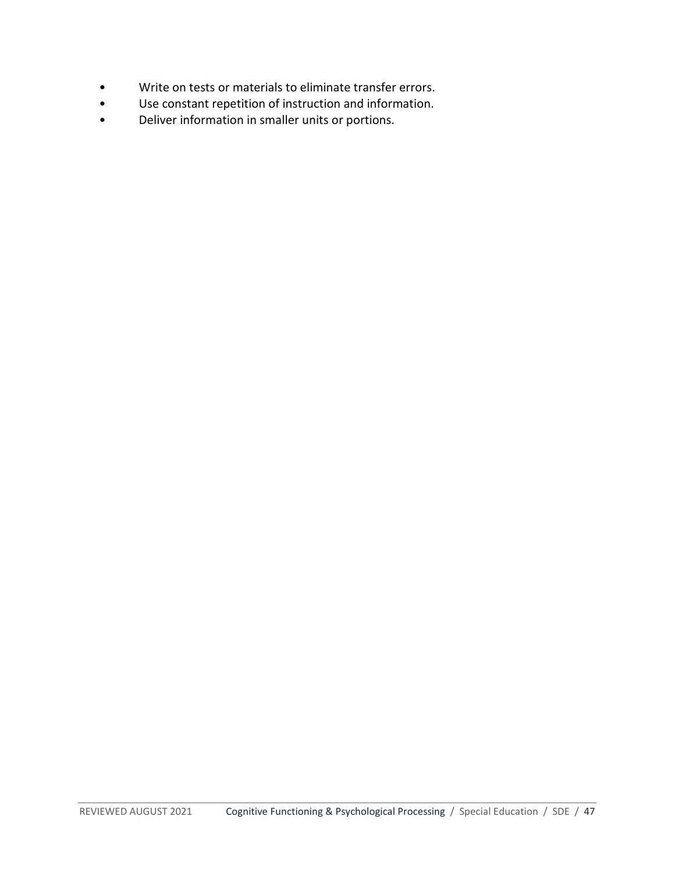- Write on tests or materials to eliminate transfer errors.
- Use constant repetition of instruction and information.
- Deliver information in smaller units or portions.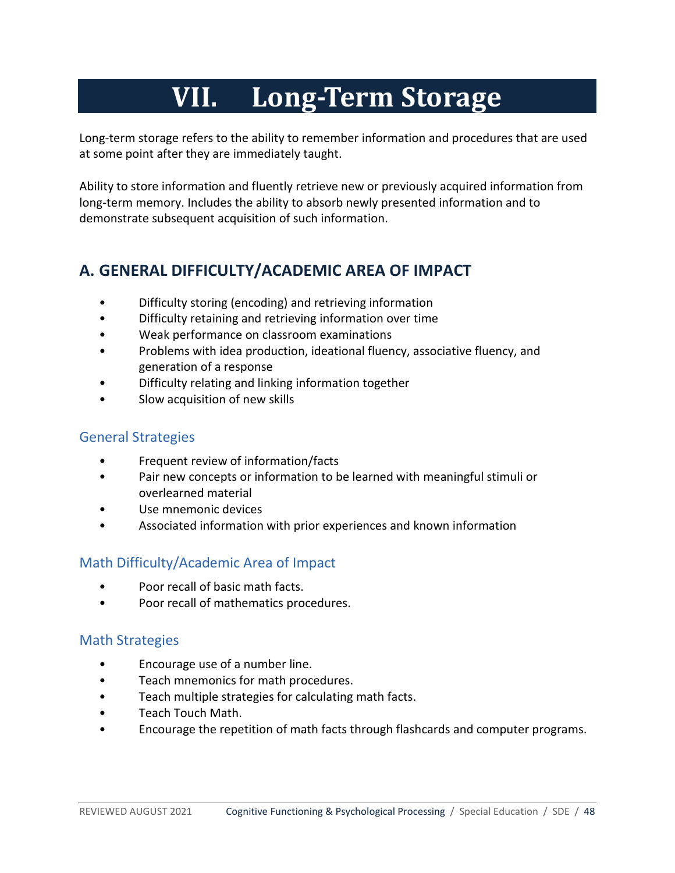# **VII. Long-Term Storage**

<span id="page-47-0"></span>Long-term storage refers to the ability to remember information and procedures that are used at some point after they are immediately taught.

Ability to store information and fluently retrieve new or previously acquired information from long-term memory. Includes the ability to absorb newly presented information and to demonstrate subsequent acquisition of such information.

# <span id="page-47-1"></span>**A. GENERAL DIFFICULTY/ACADEMIC AREA OF IMPACT**

- Difficulty storing (encoding) and retrieving information
- Difficulty retaining and retrieving information over time
- Weak performance on classroom examinations
- Problems with idea production, ideational fluency, associative fluency, and generation of a response
- Difficulty relating and linking information together
- Slow acquisition of new skills

#### <span id="page-47-2"></span>General Strategies

- Frequent review of information/facts
- Pair new concepts or information to be learned with meaningful stimuli or overlearned material
- Use mnemonic devices
- Associated information with prior experiences and known information

## <span id="page-47-3"></span>Math Difficulty/Academic Area of Impact

- Poor recall of basic math facts.
- Poor recall of mathematics procedures.

## <span id="page-47-4"></span>Math Strategies

- Encourage use of a number line.
- Teach mnemonics for math procedures.
- Teach multiple strategies for calculating math facts.
- Teach Touch Math.
- Encourage the repetition of math facts through flashcards and computer programs.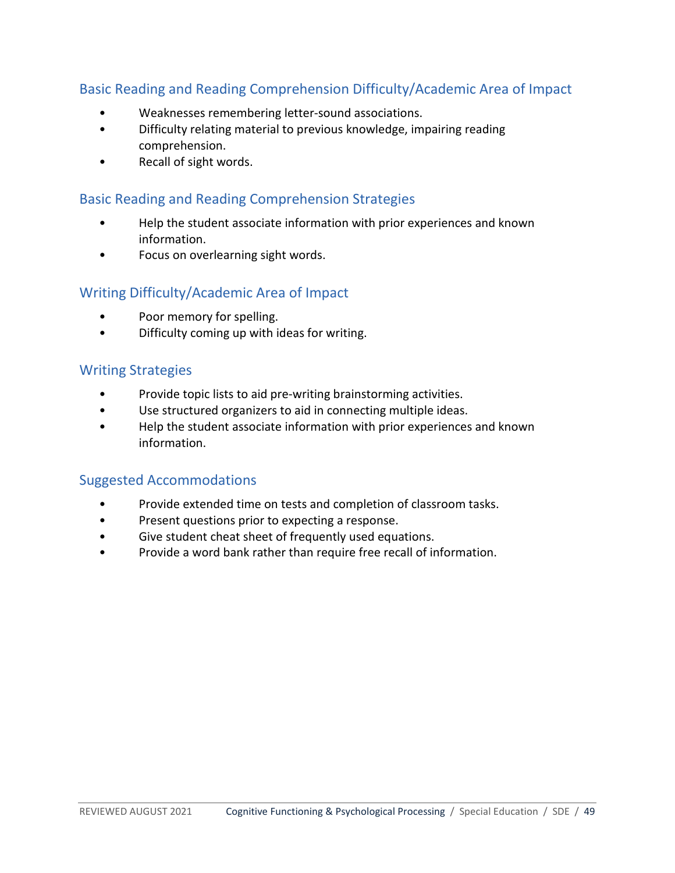## <span id="page-48-0"></span>Basic Reading and Reading Comprehension Difficulty/Academic Area of Impact

- Weaknesses remembering letter-sound associations.
- Difficulty relating material to previous knowledge, impairing reading comprehension.
- Recall of sight words.

#### <span id="page-48-1"></span>Basic Reading and Reading Comprehension Strategies

- Help the student associate information with prior experiences and known information.
- Focus on overlearning sight words.

#### <span id="page-48-2"></span>Writing Difficulty/Academic Area of Impact

- Poor memory for spelling.
- Difficulty coming up with ideas for writing.

#### <span id="page-48-3"></span>Writing Strategies

- Provide topic lists to aid pre-writing brainstorming activities.
- Use structured organizers to aid in connecting multiple ideas.
- <span id="page-48-4"></span>• Help the student associate information with prior experiences and known information.

- Provide extended time on tests and completion of classroom tasks.
- Present questions prior to expecting a response.
- Give student cheat sheet of frequently used equations.
- Provide a word bank rather than require free recall of information.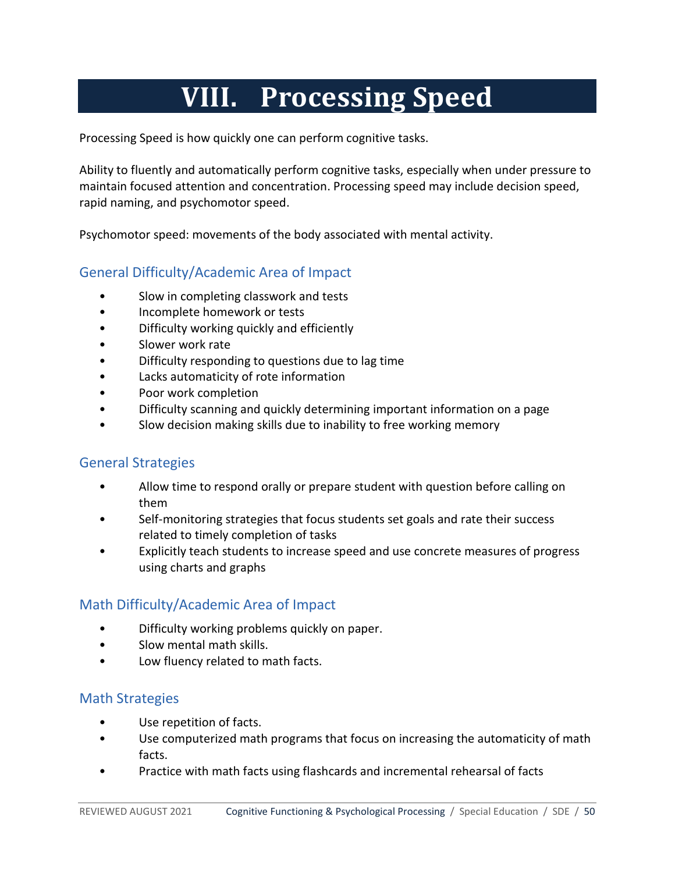# **VIII. Processing Speed**

<span id="page-49-0"></span>Processing Speed is how quickly one can perform cognitive tasks.

Ability to fluently and automatically perform cognitive tasks, especially when under pressure to maintain focused attention and concentration. Processing speed may include decision speed, rapid naming, and psychomotor speed.

<span id="page-49-1"></span>Psychomotor speed: movements of the body associated with mental activity.

# General Difficulty/Academic Area of Impact

- Slow in completing classwork and tests
- Incomplete homework or tests
- Difficulty working quickly and efficiently
- Slower work rate
- Difficulty responding to questions due to lag time
- Lacks automaticity of rote information
- Poor work completion
- Difficulty scanning and quickly determining important information on a page
- Slow decision making skills due to inability to free working memory

## <span id="page-49-2"></span>General Strategies

- Allow time to respond orally or prepare student with question before calling on them
- Self-monitoring strategies that focus students set goals and rate their success related to timely completion of tasks
- Explicitly teach students to increase speed and use concrete measures of progress using charts and graphs

# <span id="page-49-3"></span>Math Difficulty/Academic Area of Impact

- Difficulty working problems quickly on paper.
- Slow mental math skills.
- Low fluency related to math facts.

## <span id="page-49-4"></span>Math Strategies

- Use repetition of facts.
- Use computerized math programs that focus on increasing the automaticity of math facts.
- Practice with math facts using flashcards and incremental rehearsal of facts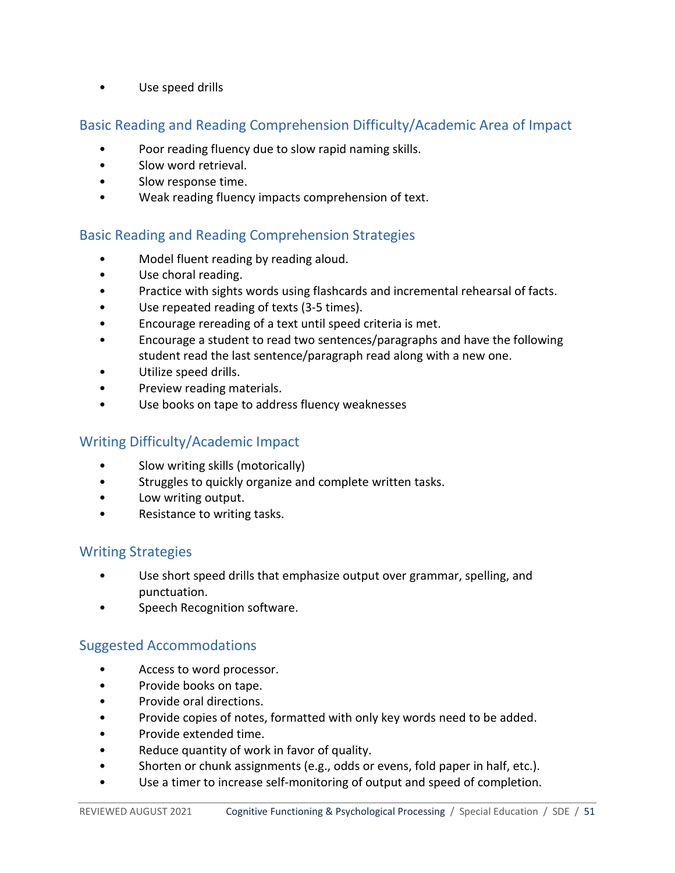• Use speed drills

#### <span id="page-50-0"></span>Basic Reading and Reading Comprehension Difficulty/Academic Area of Impact

- Poor reading fluency due to slow rapid naming skills.
- Slow word retrieval.
- Slow response time.
- Weak reading fluency impacts comprehension of text.

#### <span id="page-50-1"></span>Basic Reading and Reading Comprehension Strategies

- Model fluent reading by reading aloud.
- Use choral reading.
- Practice with sights words using flashcards and incremental rehearsal of facts.
- Use repeated reading of texts (3-5 times).
- Encourage rereading of a text until speed criteria is met.
- Encourage a student to read two sentences/paragraphs and have the following student read the last sentence/paragraph read along with a new one.
- Utilize speed drills.
- Preview reading materials.
- Use books on tape to address fluency weaknesses

## <span id="page-50-2"></span>Writing Difficulty/Academic Impact

- Slow writing skills (motorically)
- Struggles to quickly organize and complete written tasks.
- Low writing output.
- Resistance to writing tasks.

#### <span id="page-50-3"></span>Writing Strategies

- Use short speed drills that emphasize output over grammar, spelling, and punctuation.
- <span id="page-50-4"></span>Speech Recognition software.

- Access to word processor.
- Provide books on tape.
- Provide oral directions.
- Provide copies of notes, formatted with only key words need to be added.
- Provide extended time.
- Reduce quantity of work in favor of quality.
- Shorten or chunk assignments (e.g., odds or evens, fold paper in half, etc.).
- Use a timer to increase self-monitoring of output and speed of completion.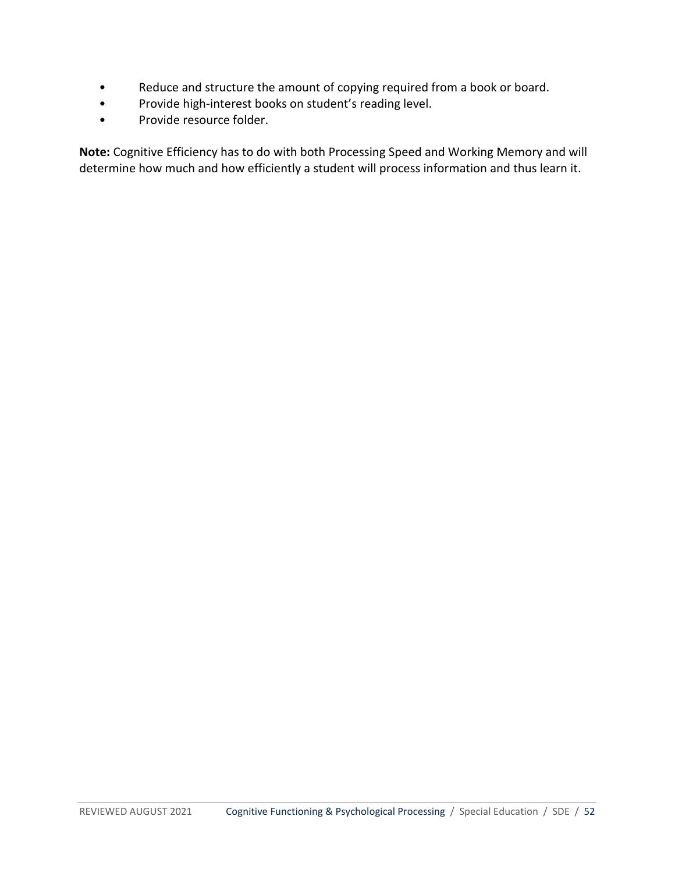- Reduce and structure the amount of copying required from a book or board.
- Provide high-interest books on student's reading level.
- Provide resource folder.

**Note:** Cognitive Efficiency has to do with both Processing Speed and Working Memory and will determine how much and how efficiently a student will process information and thus learn it.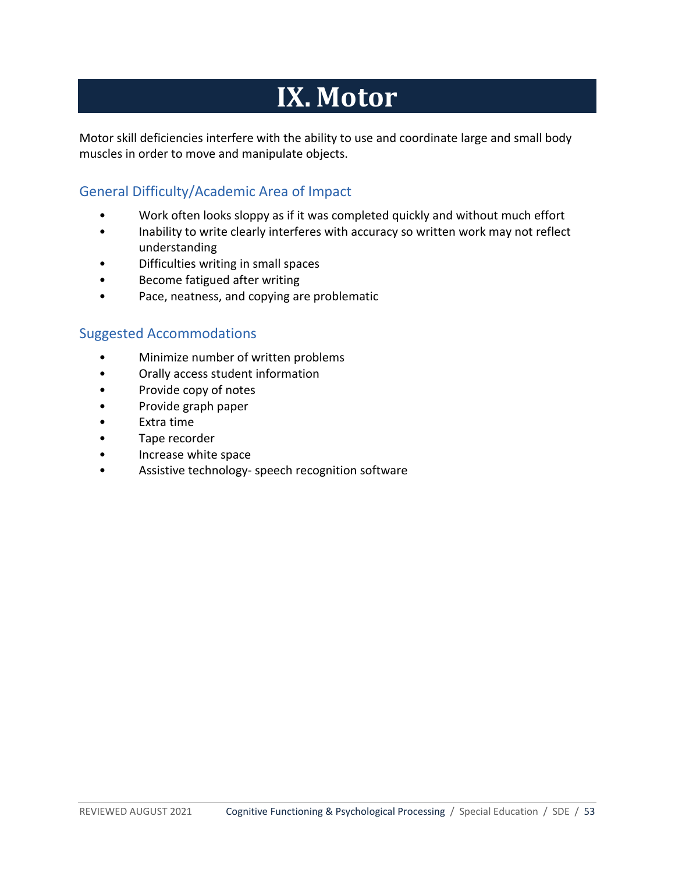# **IX. Motor**

<span id="page-52-0"></span>Motor skill deficiencies interfere with the ability to use and coordinate large and small body muscles in order to move and manipulate objects.

## <span id="page-52-1"></span>General Difficulty/Academic Area of Impact

- Work often looks sloppy as if it was completed quickly and without much effort
- Inability to write clearly interferes with accuracy so written work may not reflect understanding
- Difficulties writing in small spaces
- Become fatigued after writing
- <span id="page-52-2"></span>• Pace, neatness, and copying are problematic

- Minimize number of written problems
- Orally access student information
- Provide copy of notes
- Provide graph paper
- Extra time
- Tape recorder
- Increase white space
- Assistive technology- speech recognition software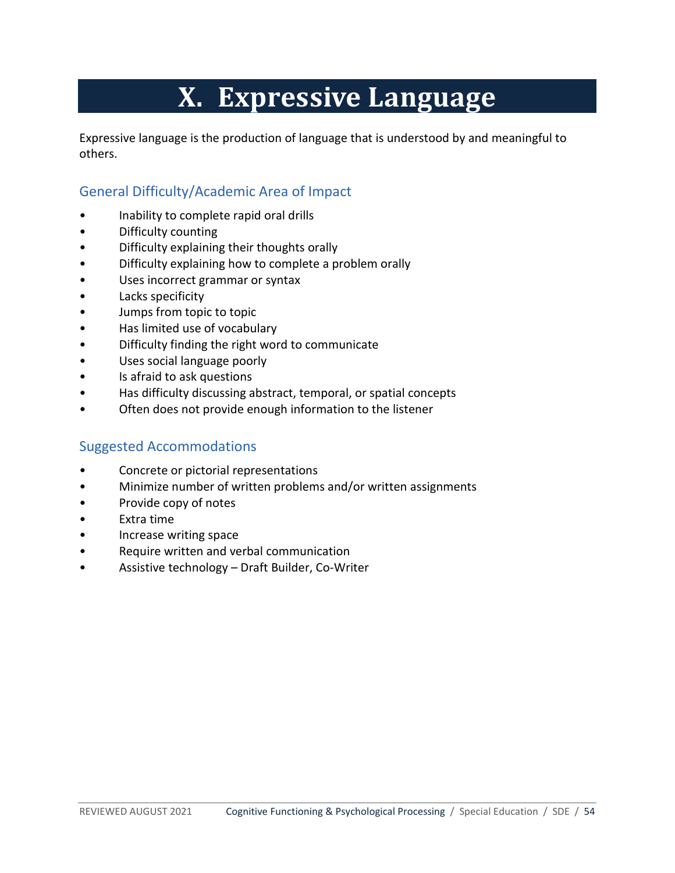# **X. Expressive Language**

<span id="page-53-0"></span>Expressive language is the production of language that is understood by and meaningful to others.

## <span id="page-53-1"></span>General Difficulty/Academic Area of Impact

- Inability to complete rapid oral drills
- Difficulty counting
- Difficulty explaining their thoughts orally
- Difficulty explaining how to complete a problem orally
- Uses incorrect grammar or syntax
- Lacks specificity
- Jumps from topic to topic
- Has limited use of vocabulary
- Difficulty finding the right word to communicate
- Uses social language poorly
- Is afraid to ask questions
- Has difficulty discussing abstract, temporal, or spatial concepts
- <span id="page-53-2"></span>• Often does not provide enough information to the listener

- Concrete or pictorial representations
- Minimize number of written problems and/or written assignments
- Provide copy of notes
- Extra time
- Increase writing space
- Require written and verbal communication
- Assistive technology Draft Builder, Co-Writer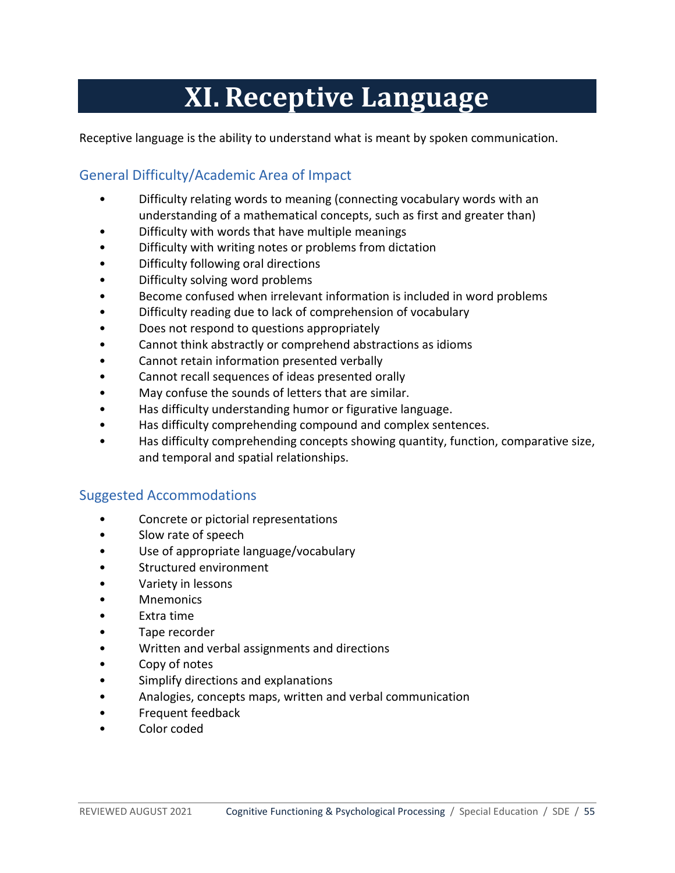# **XI.Receptive Language**

<span id="page-54-1"></span><span id="page-54-0"></span>Receptive language is the ability to understand what is meant by spoken communication.

## General Difficulty/Academic Area of Impact

- Difficulty relating words to meaning (connecting vocabulary words with an understanding of a mathematical concepts, such as first and greater than)
- Difficulty with words that have multiple meanings
- Difficulty with writing notes or problems from dictation
- Difficulty following oral directions
- Difficulty solving word problems
- Become confused when irrelevant information is included in word problems
- Difficulty reading due to lack of comprehension of vocabulary
- Does not respond to questions appropriately
- Cannot think abstractly or comprehend abstractions as idioms
- Cannot retain information presented verbally
- Cannot recall sequences of ideas presented orally
- May confuse the sounds of letters that are similar.
- Has difficulty understanding humor or figurative language.
- Has difficulty comprehending compound and complex sentences.
- <span id="page-54-2"></span>• Has difficulty comprehending concepts showing quantity, function, comparative size, and temporal and spatial relationships.

- Concrete or pictorial representations
- Slow rate of speech
- Use of appropriate language/vocabulary
- Structured environment
- Variety in lessons
- **Mnemonics**
- Extra time
- Tape recorder
- Written and verbal assignments and directions
- Copy of notes
- Simplify directions and explanations
- Analogies, concepts maps, written and verbal communication
- Frequent feedback
- Color coded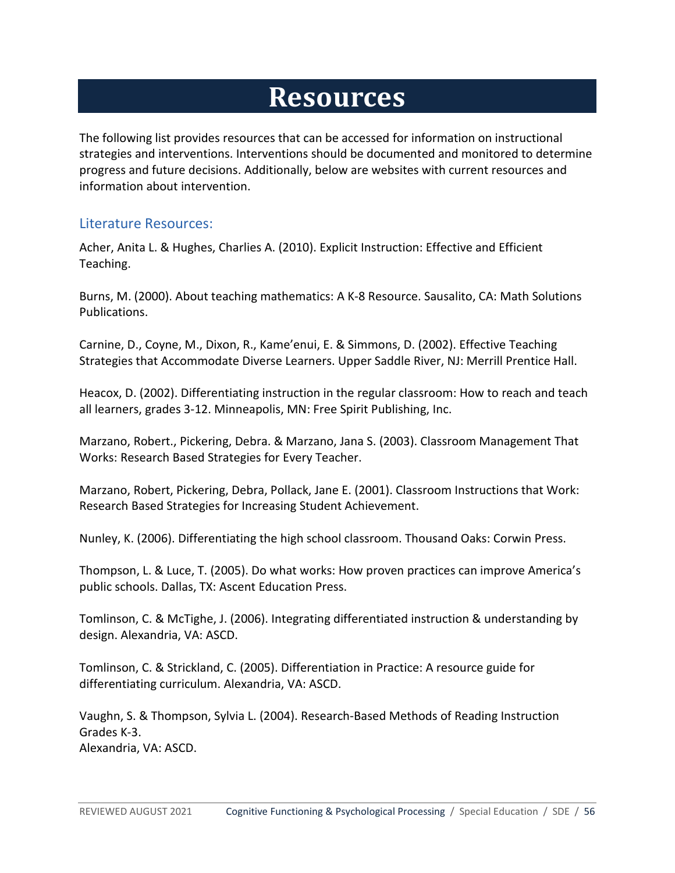# **Resources**

<span id="page-55-0"></span>The following list provides resources that can be accessed for information on instructional strategies and interventions. Interventions should be documented and monitored to determine progress and future decisions. Additionally, below are websites with current resources and information about intervention.

#### <span id="page-55-1"></span>Literature Resources:

Acher, Anita L. & Hughes, Charlies A. (2010). Explicit Instruction: Effective and Efficient Teaching.

Burns, M. (2000). About teaching mathematics: A K-8 Resource. Sausalito, CA: Math Solutions Publications.

Carnine, D., Coyne, M., Dixon, R., Kame'enui, E. & Simmons, D. (2002). Effective Teaching Strategies that Accommodate Diverse Learners. Upper Saddle River, NJ: Merrill Prentice Hall.

Heacox, D. (2002). Differentiating instruction in the regular classroom: How to reach and teach all learners, grades 3-12. Minneapolis, MN: Free Spirit Publishing, Inc.

Marzano, Robert., Pickering, Debra. & Marzano, Jana S. (2003). Classroom Management That Works: Research Based Strategies for Every Teacher.

Marzano, Robert, Pickering, Debra, Pollack, Jane E. (2001). Classroom Instructions that Work: Research Based Strategies for Increasing Student Achievement.

Nunley, K. (2006). Differentiating the high school classroom. Thousand Oaks: Corwin Press.

Thompson, L. & Luce, T. (2005). Do what works: How proven practices can improve America's public schools. Dallas, TX: Ascent Education Press.

Tomlinson, C. & McTighe, J. (2006). Integrating differentiated instruction & understanding by design. Alexandria, VA: ASCD.

Tomlinson, C. & Strickland, C. (2005). Differentiation in Practice: A resource guide for differentiating curriculum. Alexandria, VA: ASCD.

Vaughn, S. & Thompson, Sylvia L. (2004). Research-Based Methods of Reading Instruction Grades K-3. Alexandria, VA: ASCD.